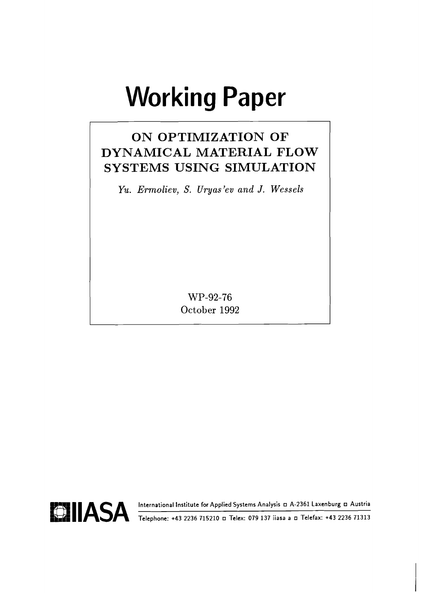# **Working Paper**

# **ON OPTIMIZATION OF DYNAMICAL MATERIAL FLOW SYSTEMS USING SIMULATION**

*Yu. Ermoliev, S. Uryas'ev and J. Wessels* 

WP-92-76 October 1992



**BIIASA International Institute for Applied Systems Analysis A-2361 Laxenburg Austria Telephone: +43 2236 715210 Telex: 079 137 iiasa a Telefax: +43 2236 71313**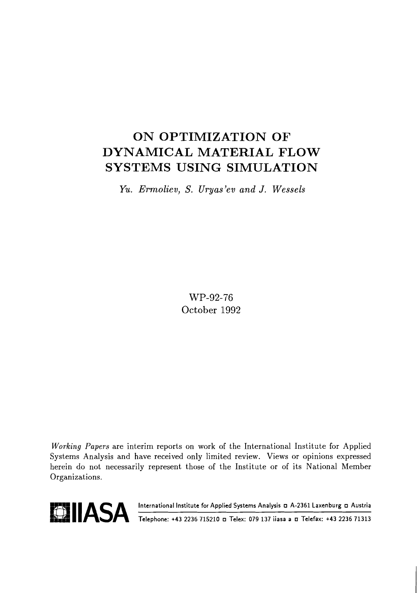# ON OPTIMIZATION OF DYNAMICAL MATERIAL FLOW SYSTEMS USING SIMULATION

*Yu. Ermoliev, S. Uryas'ev and J. Wessels* 

WP-92-76 October 1992

**Working** Papers are interim reports on work of the International Institute for Applied Systems Analysis and have received only limited review. Views or opinions expressed herein do not necessarily represent those of the Institute or of its National Member Organizations.



**EXAMPLE ASSA International Institute for Applied Systems Analysis D A-2361 Laxenburg D Austria 1994.**<br> **Telephone: +43 2236 715210 D Telex: 079 137 iiasa a D Telefax: +43 2236 71313**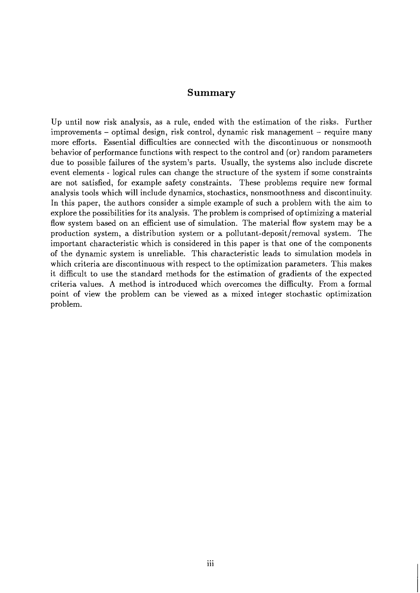#### **Summary**

Up until now risk analysis, as a rule, ended with the estimation of the risks. Further improvements - optimal design, risk control, dynamic risk management - require many more efforts. Essential difficulties are connected with the discontinuous or nonsmooth behavior of performance functions with respect to the control and (or) random parameters due to possible failures of the system's parts. Usually, the systems also include discrete event elements - logical rules can change the structure of the system if some constraints are not satisfied, for example safety constraints. These problems require new formal analysis tools which will include dynamics, stochastics, nonsmoothness and discontinuity. In this paper, the authors consider a simple example of such a problem with the aim to explore the possibilities for its analysis. The problem is comprised of optimizing a material flow system based on an efficient use of simulation. The material flow system may be a production system, a distribution system or a pollutant-deposit/removal system. The important characteristic which is considered in this paper is that one of the components of the dynamic system is unreliable. This characteristic leads to simulation models in which criteria are discontinuous with respect to the optimization parameters. This makes it difficult to use the standard methods for the estimation of gradients of the expected criteria values. A method is introduced which overcomes the difficulty. From a formal point of view the problem can be viewed as a mixed integer stochastic optimization problem.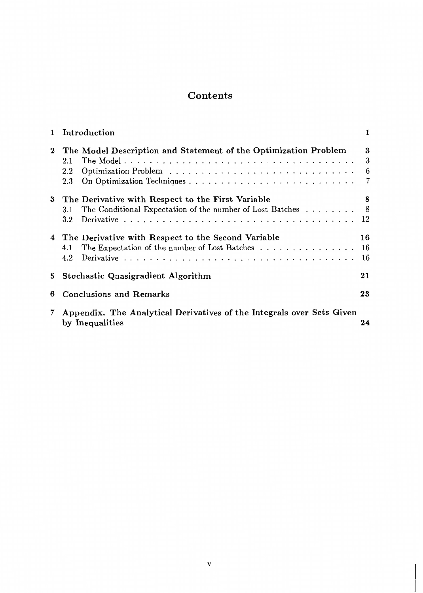#### **Contents**

| 1        | Introduction                                                                                                                                   |             |
|----------|------------------------------------------------------------------------------------------------------------------------------------------------|-------------|
| $\bf{2}$ | The Model Description and Statement of the Optimization Problem<br>$2.1\,$<br>$2.2\,$<br>$2.3\,$                                               | 3<br>3<br>6 |
| 3        | The Derivative with Respect to the First Variable<br>The Conditional Expectation of the number of Lost Batches $\dots \dots$<br>3.1<br>$3.2\,$ | 8<br>8      |
| 4        | The Derivative with Respect to the Second Variable<br>The Expectation of the number of Lost Batches 16<br>4.1<br>4.2                           | 16<br>16    |
| 5        | Stochastic Quasigradient Algorithm                                                                                                             | 21          |
| 6        | <b>Conclusions and Remarks</b>                                                                                                                 | 23          |
| 7        | Appendix. The Analytical Derivatives of the Integrals over Sets Given<br>by Inequalities                                                       | 24          |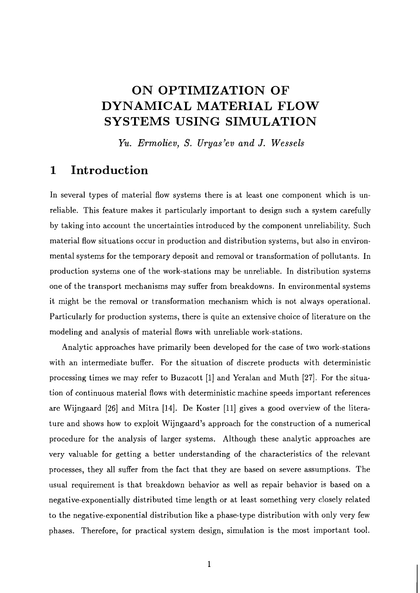# **ON OPTIMIZATION OF DYNAMICAL MATERIAL FLOW SYSTEMS USING SIMULATION**

*Yu. Ermoliev, S. Uryas'ev and J. Wessels* 

#### **1 Introduction**

In several types of material flow systems there is at least one component which is unreliable. This feature makes it particularly important to design such a system carefully by taking into account the uncertainties introduced by the component unreliability. Such material flow situations occur in production and distribution systems, but also in environmental systems for the temporary deposit and removal or transformation of pollutants. In production systems one of the work-stations may be unreliable. In distribution systems one of the transport mechanisms may suffer from breakdowns. In environmental systems it might be the removal or transformation mechanism which is not always operational. Particularly for production systems, there is quite an extensive choice of literature on the modeling and analysis of material flows with unreliable work-stations.

Analytic approaches have primarily been developed for the case of two work-stations with an intermediate buffer. For the situation of discrete products with deterministic processing times we may refer to Buzacott **[I]** and Yeralan and Muth [27]. For the situation of continuous material flows with deterministic machine speeds important references are Wijngaard **[26]** and Mitra **[14].** De Koster **[ll]** gives a good overview of the literature and shows how to exploit Wijngaard's approach for the construction of a numerical procedure for the analysis of larger systems. Although these analytic approaches are very valuable for getting a better understanding of the characteristics of the relevant processes, they all suffer from the fact that they are based on severe assumptions. The usual requirement is that breakdown behavior as well as repair behavior is based on a negative-exponentially distributed time length or at least something very closely related to the negative-exponential distribution like a phase-type distribution with only very few phases. Therefore, for practical system design, simulation is the most important tool.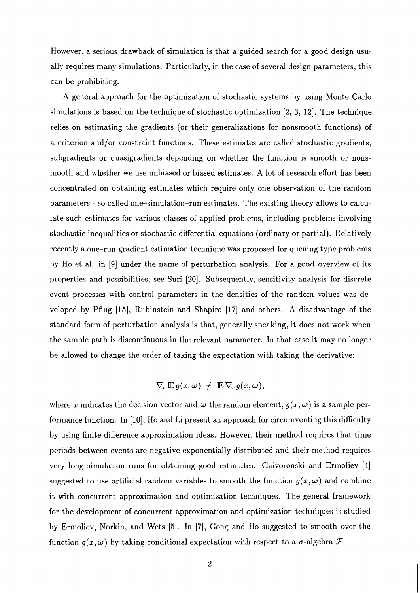However, a serious drawback of simulation is that a guided search for a good design usually requires many simulations. Particularly, in the case of several design parameters, this can be prohibiting.

A general approach for the optimization of stochastic systems by using Monte Carlo simulations is based on the technique of stochastic optimization [2, **3,** 121. The technique relies on estimating the gradients (or their generalizations for nonsmooth functions) of a criterion and/or constraint functions. These estimates are called stochastic gradients, subgradients or quasigradients depending on whether the function is smooth or nonsmooth and whether we use unbiased or biased estimates. A lot of research effort has been concentrated on obtaining estimates which require only one observation of the random parameters - so called one-simulation-run estimates. The existing theory allows to calculate such estimates for various classes of applied problems, including problems involving stochastic inequalities or stochastic differential equations (ordinary or partial). Relatively recently a one-run gradient estimation technique was proposed for queuing type problems by Ho et al. in [9] under the name of perturbation analysis. For a good overview of its properties and possibilities, see Suri [20]. Subsequently, sensitivity analysis for discrete event processes with control parameters in the densities of the random values was developed by Pflug [15], Rubinstein and Shapiro [17] and others. A disadvantage of the standard form of perturbation analysis is that, generally speaking, it does not work when the sample path is discontinuous in the relevant parameter. In that case it may no longer be allowed to change the order of taking the expectation with taking the derivative:

$$
\nabla_{\!x}\mathop{\mathrm{E}} g(x,\omega) \ \neq \ \mathop{\mathrm{E}} \nabla_{\!x} g(x,\omega),
$$

where x indicates the decision vector and  $\omega$  the random element,  $g(x, \omega)$  is a sample performance function. In [10], Ho and Li present an approach for circumventing this difficulty by using finite difference approximation ideas. However, their method requires that time periods between events are negative-exponentially distributed and their met hod requires very long simulation runs for obtaining good estimates. Gaivoronski and Ermoliev [4] suggested to use artificial random variables to smooth the function  $g(x, \omega)$  and combine it with concurrent approximation and optimization techniques. The general framework for the development of concurrent approximation and optimization techniques is studied by Ermoliev, Norkin, and Wets [5]. In [7], Gong and Ho suggested to smooth over the function  $g(x, \omega)$  by taking conditional expectation with respect to a  $\sigma$ -algebra  $\mathcal F$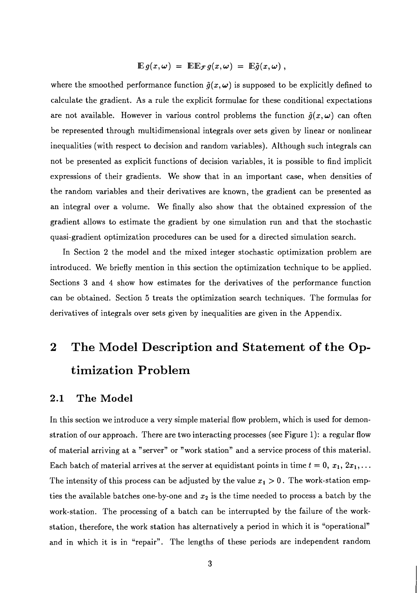$$
\mathbb{E} g(x,\omega) = \mathbb{E} \mathbb{E}_{\mathcal{F}} g(x,\omega) = \mathbb{E} \tilde{g}(x,\omega) ,
$$

where the smoothed performance function  $\tilde{g}(x,\omega)$  is supposed to be explicitly defined to calculate the gradient. As a rule the explicit formulae for these conditional expectations are not available. However in various control problems the function  $\tilde{g}(x,\omega)$  can often be represented through multidimensional integrals over sets given by linear or nonlinear inequalities (with respect to decision and random variables). Although such integrals can not be presented as explicit functions of decision variables, it is possible to find implicit expressions of their gradients. We show that in an important case, when densities of the random variables and their derivatives are known, the gradient can be presented as an integral over a volume. We finally also show that the obtained expression of the gradient allows to estimate the gradient by one simulation run and that the stochastic quasi-gradient optimization procedures can be used for a directed simulation search.

In Section 2 the model and the mixed integer stochastic optimization problem are introduced. We briefly mention in this section the optimization technique to be applied. Sections **3** and 4 show how estimates for the derivatives of the performance function can be obtained. Section 5 treats the optimization search techniques. The formulas for derivatives of integrals over sets given by inequalities are given in the Appendix.

#### $\boldsymbol{2}$ **The Model Description and Statement of the Optimization Problem**

#### **2.1 The Model**

In this section we introduce a very simple material flow problem, which is used for demonstration of our approach. There are two interacting processes (see Figure 1): a regular flow of material arriving at a "server" or "work station" and a service process of this material. Each batch of material arrives at the server at equidistant points in time  $t = 0, x_1, 2x_1, \ldots$ The intensity of this process can be adjusted by the value  $x_1 > 0$ . The work-station empties the available batches one-by-one and  $x_2$  is the time needed to process a batch by the work-station. The processing of a batch can be interrupted by the failure of the workstation, therefore, the work station has alternatively a period in which it is "operational" and in which it is in "repair". The lengths of these periods are independent random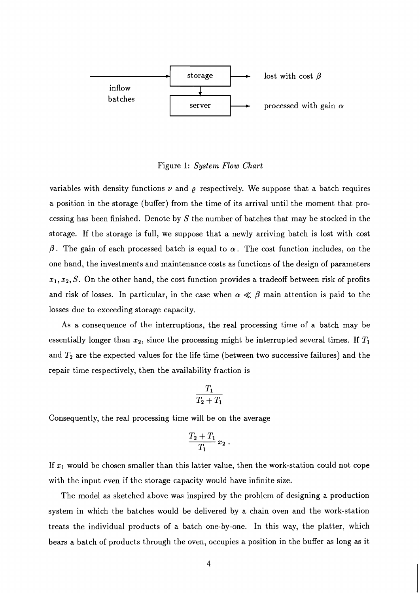

#### Figure 1: System **Flow** *Chart*

variables with density functions  $\nu$  and  $\rho$  respectively. We suppose that a batch requires a position in the storage (buffer) from the time of its arrival until the moment that processing has been finished. Denote by  $S$  the number of batches that may be stocked in the storage. If the storage is full, we suppose that a newly arriving batch is lost with cost  $\beta$ . The gain of each processed batch is equal to  $\alpha$ . The cost function includes, on the one hand, the investments and maintenance costs as functions of the design of parameters  $x_1, x_2, S$ . On the other hand, the cost function provides a tradeoff between risk of profits and risk of losses. In particular, in the case when  $\alpha \ll \beta$  main attention is paid to the losses due to exceeding storage capacity.

As a consequence of the interruptions, the real processing time of a batch may be essentially longer than  $x_2$ , since the processing might be interrupted several times. If  $T_1$ and  $T_2$  are the expected values for the life time (between two successive failures) and the repair time respectively, then the availability fraction is

$$
\frac{T_1}{T_2+T_1}
$$

Consequently, the real processing time will be on the average

$$
\frac{T_2+T_1}{T_1}\,x_2
$$

If  $x_1$  would be chosen smaller than this latter value, then the work-station could not cope with the input even if the storage capacity would have infinite size.

The model as sketched above was inspired by the problem of designing a production system in which the batches would be delivered by a chain oven and the work-station treats the individual products of a batch one-by-one. In this way, the platter, which bears a batch of products through the oven, occupies a position in the buffer as long as it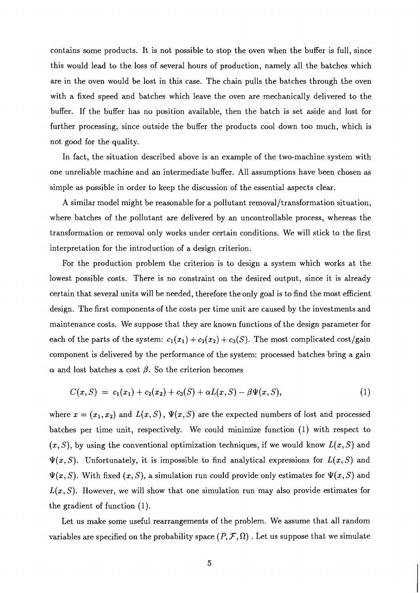contains some products. It is not possible to stop the oven when the buffer is full, since this would lead to the loss of several hours of production, namely all the batches which are in the oven would be lost in this case. The chain pulls the batches through the oven with a fixed speed and batches which leave the oven are mechanically delivered to the buffer. If the buffer has no position available, then the batch is set aside and lost for further processing, since outside the buffer the products cool down too much, which is not good for the quality.

In fact, the situation described above is an example of the two-machine system with one unreliable machine and an intermediate buffer. All assumptions have been chosen as simple as possible in order to keep the discussion of the essential aspects clear.

A similar model might be reasonable for a pollutant removal/transformation situation, where batches of the pollutant are delivered by an uncontrollable process, whereas the transformation or removal only works under certain conditions. We will stick to the first interpretation for the introduction of a design criterion.

For the production problem the criterion is to design a system which works at the lowest possible costs. There is no constraint on the desired output, since it is already certain that several units will be needed, therefore the only goal is to find the most efficient design. The first components of the costs per time unit are caused by the investments and maintenance costs. We suppose that they are known functions of the design parameter for each of the parts of the system:  $c_1(x_1) + c_2(x_2) + c_3(S)$ . The most complicated cost/gain component is delivered by the performance of the system: processed batches bring a gain  $\alpha$  and lost batches a cost  $\beta$ . So the criterion becomes

$$
C(x, S) = c_1(x_1) + c_2(x_2) + c_3(S) + \alpha L(x, S) - \beta \Psi(x, S), \qquad (1)
$$

where  $x = (x_1, x_2)$  and  $L(x, S)$ ,  $\Psi(x, S)$  are the expected numbers of lost and processed batches per time unit, respectively. We could minimize function (1) with respect to  $(x, S)$ , by using the conventional optimization techniques, if we would know  $L(x, S)$  and  $\Psi(x, S)$ . Unfortunately, it is impossible to find analytical expressions for  $L(x, S)$  and  $\Psi(x, S)$ . With fixed  $(x, S)$ , a simulation run could provide only estimates for  $\Psi(x, S)$  and  $L(x, S)$ . However, we will show that one simulation run may also provide estimates for the gradient of function (1).

Let us make some useful rearrangements of the problem. We assume that all random variables are specified on the probability space  $(P, \mathcal{F}, \Omega)$ . Let us suppose that we simulate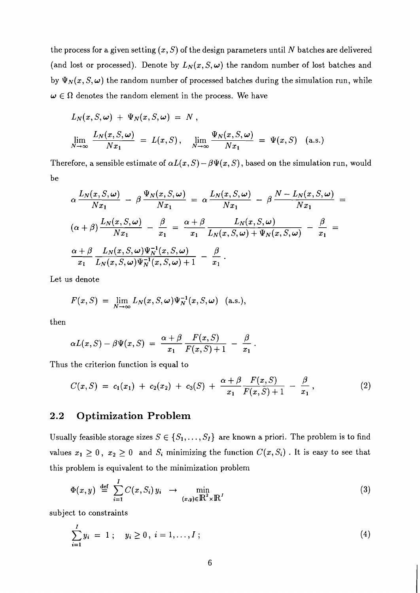the process for a given setting  $(x, S)$  of the design parameters until N batches are delivered (and lost or processed). Denote by  $L_N(x, S, \omega)$  the random number of lost batches and by  $\Psi_N(x, S, \omega)$  the random number of processed batches during the simulation run, while  $\omega \in \Omega$  denotes the random element in the process. We have

$$
L_N(x, S, \omega) + \Psi_N(x, S, \omega) = N,
$$
  

$$
\lim_{N \to \infty} \frac{L_N(x, S, \omega)}{Nx_1} = L(x, S), \quad \lim_{N \to \infty} \frac{\Psi_N(x, S, \omega)}{Nx_1} = \Psi(x, S) \quad (a.s.)
$$

Therefore, a sensible estimate of  $\alpha L(x, S) - \beta \Psi(x, S)$ , based on the simulation run, would be

$$
\alpha \frac{L_N(x, S, \omega)}{Nx_1} - \beta \frac{\Psi_N(x, S, \omega)}{Nx_1} = \alpha \frac{L_N(x, S, \omega)}{Nx_1} - \beta \frac{N - L_N(x, S, \omega)}{Nx_1} =
$$
  

$$
(\alpha + \beta) \frac{L_N(x, S, \omega)}{Nx_1} - \frac{\beta}{x_1} = \frac{\alpha + \beta}{x_1} \frac{L_N(x, S, \omega)}{L_N(x, S, \omega) + \Psi_N(x, S, \omega)} - \frac{\beta}{x_1} =
$$
  

$$
\frac{\alpha + \beta}{x_1} \frac{L_N(x, S, \omega) \Psi_N^{-1}(x, S, \omega)}{L_N(x, S, \omega) \Psi_N^{-1}(x, S, \omega) + 1} - \frac{\beta}{x_1}.
$$

Let us denote

$$
F(x, S) = \lim_{N \to \infty} L_N(x, S, \omega) \Psi_N^{-1}(x, S, \omega) \quad \text{(a.s.),}
$$

then

$$
\alpha L(x,S)-\beta \Psi(x,S) = \frac{\alpha+\beta}{x_1}\frac{F(x,S)}{F(x,S)+1} - \frac{\beta}{x_1}.
$$

Thus the criterion function is equal to

$$
C(x, S) = c_1(x_1) + c_2(x_2) + c_3(S) + \frac{\alpha + \beta}{x_1} \frac{F(x, S)}{F(x, S) + 1} - \frac{\beta}{x_1}, \qquad (2)
$$

#### **2.2 Optimization Problem**

Usually feasible storage sizes  $S \in \{S_1, \ldots, S_I\}$  are known a priori. The problem is to find values  $x_1 \geq 0$ ,  $x_2 \geq 0$  and  $S_i$  minimizing the function  $C(x, S_i)$ . It is easy to see that this problem is equivalent to the minimization problem

$$
\Phi(x,y) \stackrel{\text{def}}{=} \sum_{i=1}^{I} C(x, S_i) y_i \rightarrow \min_{(x,y) \in \mathbb{R}^2 \times \mathbb{R}^I} \tag{3}
$$

subject to constraints

$$
\sum_{i=1}^{I} y_i = 1 \; ; \quad y_i \ge 0 \, , \; i = 1, \dots, I \; ; \tag{4}
$$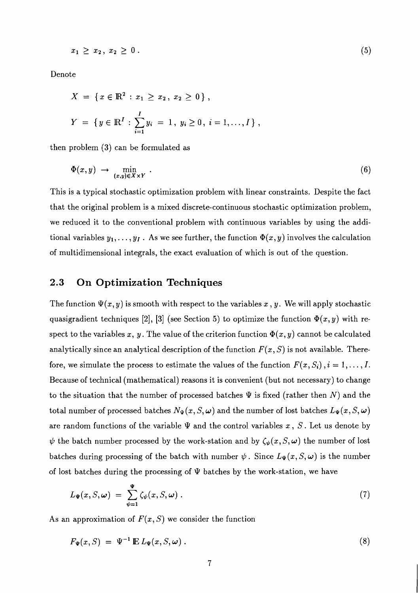$$
x_1 \ge x_2, \ x_2 \ge 0 \ . \tag{5}
$$

Denote

$$
X = \{ x \in \mathbb{R}^2 : x_1 \ge x_2, x_2 \ge 0 \},
$$
  

$$
Y = \{ y \in \mathbb{R}^I : \sum_{i=1}^I y_i = 1, y_i \ge 0, i = 1, ..., I \},
$$

then problem (3) can be formulated **as** 

$$
\Phi(x,y) \rightarrow \min_{(x,y)\in X\times Y} . \tag{6}
$$

This is a typical stochastic optimization problem with linear constraints. Despite the fact that the original problem is a mixed discrete-continuous stochastic optimization problem, we reduced it to the conventional problem with continuous variables by using the additional variables  $y_1, \ldots, y_I$ . As we see further, the function  $\Phi(x, y)$  involves the calculation of multidimensional integrals, the exact evaluation of which is out of the question.

#### **2.3 On Optimization Techniques**

The function  $\Psi(x, y)$  is smooth with respect to the variables x, y. We will apply stochastic quasigradient techniques [2], [3] (see Section 5) to optimize the function  $\Phi(x, y)$  with respect to the variables x, y. The value of the criterion function  $\Phi(x, y)$  cannot be calculated analytically since an analytical description of the function  $F(x, S)$  is not available. Therefore, we simulate the process to estimate the values of the function  $F(x, S_i)$ ,  $i = 1, \ldots, I$ . Because of technical (mathematical) reasons it is convenient (but not necessary) to change to the situation that the number of processed batches  $\Psi$  is fixed (rather then N) and the total number of processed batches  $N_{\Psi}(x, S, \omega)$  and the number of lost batches  $L_{\Psi}(x, S, \omega)$ are random functions of the variable  $\Psi$  and the control variables x, S. Let us denote by  $\psi$  the batch number processed by the work-station and by  $\zeta_{\psi}(x, S, \omega)$  the number of lost batches during processing of the batch with number  $\psi$ . Since  $L_{\Psi}(x, S, \omega)$  is the number of lost batches during the processing of  $\Psi$  batches by the work-station, we have

$$
L_{\Psi}(x, S, \omega) = \sum_{\psi=1}^{\Psi} \zeta_{\psi}(x, S, \omega) . \qquad (7)
$$

As an approximation of  $F(x, S)$  we consider the function

$$
F_{\Psi}(x, S) = \Psi^{-1} \mathbb{E} L_{\Psi}(x, S, \omega) . \tag{8}
$$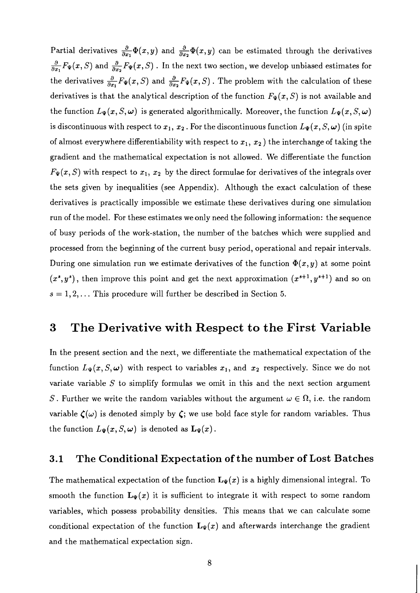Partial derivatives  $\frac{\partial}{\partial x_1} \Phi(x, y)$  and  $\frac{\partial}{\partial x_2} \Phi(x, y)$  can be estimated through the derivatives  $\frac{\partial}{\partial x_1}F_\Psi(x, S)$  and  $\frac{\partial}{\partial x_2}F_\Psi(x, S)$ . In the next two section, we develop unbiased estimates for the derivatives  $\frac{\partial}{\partial x_1}F_{\Psi}(x, S)$  and  $\frac{\partial}{\partial x_2}F_{\Psi}(x, S)$ . The problem with the calculation of these derivatives is that the analytical description of the function  $F_{\Psi}(x, S)$  is not available and the function  $L_{\Psi}(x, S, \omega)$  is generated algorithmically. Moreover, the function  $L_{\Psi}(x, S, \omega)$ is discontinuous with respect to  $x_1, x_2$ . For the discontinuous function  $L_{\Psi}(x, S, \omega)$  (in spite of almost everywhere differentiability with respect to  $x_1, x_2$ ) the interchange of taking the gradient and the mathematical expectation is not allowed. We differentiate the function  $F_{\Psi}(x, S)$  with respect to  $x_1, x_2$  by the direct formulae for derivatives of the integrals over the sets given by inequalities (see Appendix). Although the exact calculation of these derivatives is practically impossible we estimate these derivatives during one simulation run of the model. For these estimates we only need the following information: the sequence of busy periods of the work-station, the number of the batches which were supplied and processed from the beginning of the current busy period, operational and repair intervals. During one simulation run we estimate derivatives of the function  $\Phi(x, y)$  at some point  $(x^s, y^s)$ , then improve this point and get the next approximation  $(x^{s+1}, y^{s+1})$  and so on  $s = 1, 2, \ldots$  This procedure will further be described in Section 5.

#### **3 The Derivative with Respect to the First Variable**

In the present section and the next, we differentiate the mathematical expectation of the function  $L_{\Psi}(x, S, \omega)$  with respect to variables  $x_1$ , and  $x_2$  respectively. Since we do not variate variable  $S$  to simplify formulas we omit in this and the next section argument S. Further we write the random variables without the argument  $\omega \in \Omega$ , i.e. the random variable  $\zeta(\omega)$  is denoted simply by  $\zeta$ ; we use bold face style for random variables. Thus the function  $L_{\Psi}(x, S, \omega)$  is denoted as  $\mathbf{L}_{\Psi}(x)$ .

#### **3.1 The Conditional Expectation of the number of Lost Batches**

The mathematical expectation of the function  $L_{\Psi}(x)$  is a highly dimensional integral. To smooth the function  $L_{\Psi}(x)$  it is sufficient to integrate it with respect to some random variables, which possess probability densities. This means that we can calculate some conditional expectation of the function  $L_{\Psi}(x)$  and afterwards interchange the gradient and the mathematical expectation sign.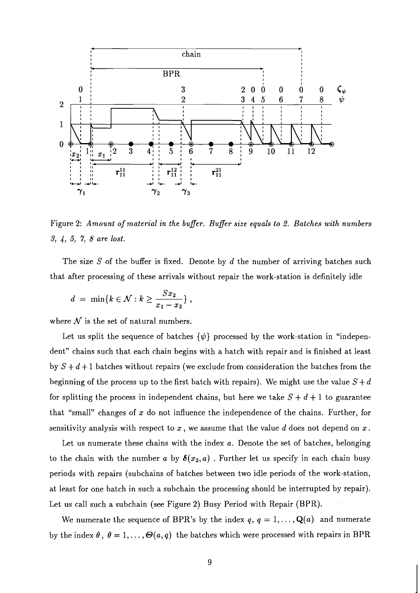

Figure 2: Amount of material in the buffer. Buffer size equals to 2. Batches with numbers **3,** 4, 5, 7, *8* are lost.

The size *S* of the buffer is fixed. Denote by d the number of arriving batches such that after processing of these arrivals without repair the work-station is definitely idle

$$
d = \min\{k \in \mathcal{N} : k \ge \frac{Sx_2}{x_1 - x_2}\},\,
$$

where  $N$  is the set of natural numbers.

Let us split the sequence of batches  $\{\psi\}$  processed by the work-station in "independent" chains such that each chain begins with a batch with repair and is finished at least by  $S + d + 1$  batches without repairs (we exclude from consideration the batches from the beginning of the process up to the first batch with repairs). We might use the value  $S + d$ for splitting the process in independent chains, but here we take  $S + d + 1$  to guarantee that "small" changes of  $x$  do not influence the independence of the chains. Further, for sensitivity analysis with respect to  $x$ , we assume that the value  $d$  does not depend on  $x$ .

Let us numerate these chains with the index a. Denote the set of batches, belonging to the chain with the number a by  $\delta(x_2, a)$ . Further let us specify in each chain busy periods with repairs (subchains of batches between two idle periods of the work-station, at least for one batch in such a subchain the processing should be interrupted by repair). Let us call such a subchain (see Figure 2) Busy Period with Repair (BPR).

We numerate the sequence of BPR's by the index  $q, q = 1, \ldots, \mathbf{Q}(a)$  and numerate by the index  $\theta$ ,  $\theta = 1, \ldots, \Theta(a, q)$  the batches which were processed with repairs in BPR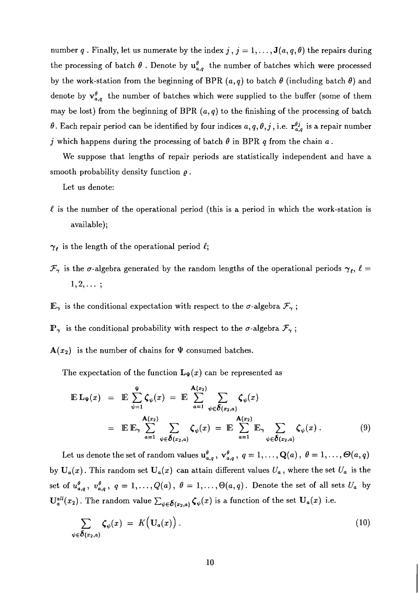number q. Finally, let us numerate by the index  $j$ ,  $j = 1, \ldots, \mathbf{J}(a, q, \theta)$  the repairs during the processing of batch  $\theta$ . Denote by  $u_{a,q}^{\theta}$  the number of batches which were processed by the work-station from the beginning of BPR  $(a, q)$  to batch  $\theta$  (including batch  $\theta$ ) and denote by  $v_{a,q}^{\theta}$  the number of batches which were supplied to the buffer (some of them may be lost) from the beginning of BPR  $(a, q)$  to the finishing of the processing of batch  $\theta$ . Each repair period can be identified by four indices  $a, q, \theta, j$ , i.e.  $\mathbf{r}_{a,q}^{\theta j}$  is a repair number j which happens during the processing of batch  $\theta$  in BPR q from the chain  $a$ .

We suppose that lengths of repair periods are statistically independent and have a smooth probability density function *e* .

Let us denote:

- $\ell$  is the number of the operational period (this is a period in which the work-station is available);
- $\gamma_{\ell}$  is the length of the operational period  $\ell$ ;
- $\mathcal{F}_{\gamma}$  is the  $\sigma$ -algebra generated by the random lengths of the operational periods  $\gamma_{\ell}$ ,  $\ell =$  $1, 2, \ldots;$
- $\mathbb{E}_{\gamma}$  is the conditional expectation with respect to the  $\sigma$ -algebra  $\mathcal{F}_{\gamma}$ ;
- $\mathbb{P}_{\gamma}$  is the conditional probability with respect to the  $\sigma$ -algebra  $\mathcal{F}_{\gamma}$ ;
- $A(x_2)$  is the number of chains for  $\Psi$  consumed batches.

The expectation of the function  $\mathbf{L}_{\Psi}(x)$  can be represented as

$$
\mathbb{E} \mathbf{L}_{\Psi}(x) = \mathbb{E} \sum_{\psi=1}^{\Psi} \zeta_{\psi}(x) = \mathbb{E} \sum_{a=1}^{\mathbf{A}(x_2)} \sum_{\psi \in \delta(x_2, a)} \zeta_{\psi}(x)
$$
  
\n
$$
= \mathbb{E} \mathbb{E}_{\gamma} \sum_{a=1}^{\mathbf{A}(x_2)} \sum_{\psi \in \delta(x_2, a)} \zeta_{\psi}(x) = \mathbb{E} \sum_{a=1}^{\mathbf{A}(x_2)} \mathbb{E}_{\gamma} \sum_{\psi \in \delta(x_2, a)} \zeta_{\psi}(x) . \tag{9}
$$

Let us denote the set of random values  $u_{a,q}^{\theta}$ ,  $v_{a,q}^{\theta}$ ,  $q = 1, \ldots, \mathbf{Q}(a)$ ,  $\theta = 1, \ldots, \Theta(a, q)$ by  $U_a(x)$ . This random set  $U_a(x)$  can attain different values  $U_a$ , where the set  $U_a$  is the set of  $u_{a,q}^{\theta}$ ,  $v_{a,q}^{\theta}$ ,  $q = 1, \ldots, Q(a)$ ,  $\theta = 1, \ldots, \Theta(a, q)$ . Denote the set of all sets  $U_a$  by  $\mathbf{U}_{a}^{all}(x_2)$ . The random value  $\sum_{\psi \in \delta(x_2,a)} \zeta_{\psi}(x)$  is a function of the set  $\mathbf{U}_{a}(x)$  i.e.

$$
\sum_{\psi \in \delta(x_2, a)} \zeta_{\psi}(x) = K\Big(\mathbf{U}_a(x)\Big). \tag{10}
$$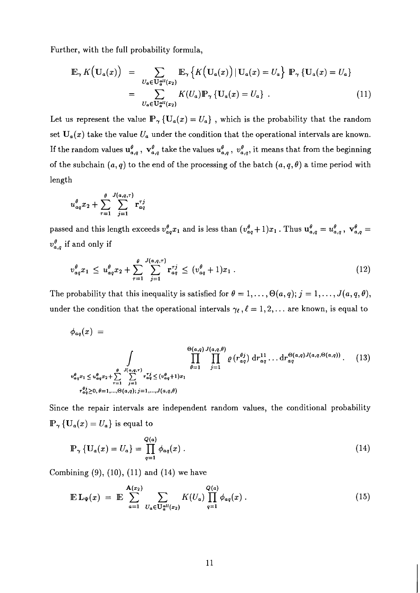Further, with the full probability formula,

$$
\mathbb{E}_{\gamma} K(U_a(x)) = \sum_{U_a \in \mathbf{U}_a^{all}(x_2)} \mathbb{E}_{\gamma} \left\{ K(U_a(x)) \, | \, U_a(x) = U_a \right\} \, \mathbb{P}_{\gamma} \left\{ U_a(x) = U_a \right\}
$$
\n
$$
= \sum_{U_a \in \mathbf{U}_a^{all}(x_2)} K(U_a) \mathbb{P}_{\gamma} \left\{ U_a(x) = U_a \right\} \, . \tag{11}
$$

Let us represent the value  $\mathbb{P}_{\gamma} \{ \mathbf{U}_{a}(x) = U_{a} \}$ , which is the probability that the random set  $U_a(x)$  take the value  $U_a$  under the condition that the operational intervals are known. If the random values  $u_{a,q}^{\theta}$ ,  $v_{a,q}^{\theta}$  take the values  $u_{a,q}^{\theta}$ ,  $v_{a,q}^{\theta}$ , it means that from the beginning of the subchain  $(a, q)$  to the end of the processing of the batch  $(a, q, \theta)$  a time period with length

$$
u_{aq}^{\theta}x_2 + \sum_{\tau=1}^{\theta} \sum_{j=1}^{J(a,q,\tau)} \mathbf{r}_{aq}^{\tau j}
$$

passed and this length exceeds  $v_{aq}^{\theta}x_1$  and is less than  $(v_{aq}^{\theta}+1)x_1$ . Thus  $u_{a,q}^{\theta}=u_{a,q}^{\theta}$ ,  $v_{a,q}^{\theta}=$  $v_{a,q}^{\theta}$  if and only if

$$
v_{aq}^{\theta} x_1 \leq u_{aq}^{\theta} x_2 + \sum_{\tau=1}^{\theta} \sum_{j=1}^{J(a,q,\tau)} \mathbf{r}_{aq}^{\tau j} \leq (v_{aq}^{\theta} + 1)x_1.
$$
 (12)

The probability that this inequality is satisfied for  $\theta = 1, \ldots, \Theta(a, q); j = 1, \ldots, J(a, q, \theta)$ , under the condition that the operational intervals  $\gamma_{\ell}$ ,  $\ell = 1, 2, \ldots$  are known, is equal to

$$
\phi_{aq}(x) = \int_{\substack{\theta(a,q) \\ \theta(q^2) = 1 \\ \dots \\ \theta(q^2) = 1 \\ \dots \\ \theta(q^2) = 0, \theta = 1, \dots, \Theta(a,q); j = 1, \dots, J(a,q,\theta)}} \frac{\Theta(a,q) J(a,q,\theta)}{\prod_{\theta=1}^{\Theta(a,q)} \prod_{j=1}^{\Theta(a,q)} \varrho(r_{aq}^{\theta_j}) dr_{aq}^{11} \dots dr_{aq}^{\Theta(a,q)} J(a,q,\Theta(a,q))} . \tag{13}
$$

Since the repair intervals are independent random values, the conditional probability  $\mathbb{P}_{\gamma} \left\{ \mathbf{U}_{a}(x) = U_{a} \right\}$  is equal to

$$
\mathbb{P}_{\gamma} \left\{ \mathbf{U}_{a}(x) = U_{a} \right\} = \prod_{q=1}^{Q(a)} \phi_{aq}(x) . \tag{14}
$$

Combining  $(9)$ ,  $(10)$ ,  $(11)$  and  $(14)$  we have

$$
\mathbb{E} \, \mathbf{L}_{\Psi}(x) \; = \; \mathbb{E} \, \sum_{a=1}^{\mathbf{A}(x_2)} \sum_{U_a \in \mathbf{U}_a^{all}(x_2)} K(U_a) \prod_{q=1}^{Q(a)} \phi_{aq}(x) \; . \tag{15}
$$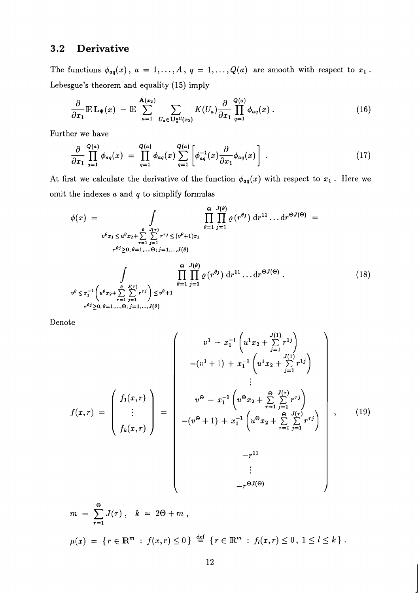#### **3.2 Derivative**

The functions  $\phi_{aq}(x)$ ,  $a = 1, ..., A$ ,  $q = 1, ..., Q(a)$  are smooth with respect to  $x_1$ . Lebesgue's theorem and equality *(15)* imply

$$
\frac{\partial}{\partial x_1} \mathbb{E} \, \mathbf{L}_{\Psi}(x) = \mathbb{E} \sum_{a=1}^{\mathbf{A}(x_2)} \sum_{U_a \in \mathbf{U}_a^{all}(x_2)} K(U_a) \frac{\partial}{\partial x_1} \prod_{q=1}^{Q(a)} \phi_{aq}(x) \,. \tag{16}
$$

Further we have

$$
\frac{\partial}{\partial x_1} \prod_{q=1}^{Q(a)} \phi_{aq}(x) = \prod_{q=1}^{Q(a)} \phi_{aq}(x) \sum_{q=1}^{Q(a)} \left[ \phi_{aq}^{-1}(x) \frac{\partial}{\partial x_1} \phi_{aq}(x) \right]. \tag{17}
$$

At first we calculate the derivative of the function  $\phi_{aq}(x)$  with respect to  $x_1$ . Here we omit the indexes *a* and q to simplify formulas

$$
\phi(x) = \int_{v^{\theta}x_{1} \le u^{\theta}x_{2} + \sum_{r=1}^{\theta} \sum_{j=1}^{J(r)} r^{rj} \le (v^{\theta}+1)x_{1}} \prod_{r=1}^{\theta=1} \prod_{j=1}^{J(\theta)} \varrho(r^{\theta j}) dr^{11} ... dr^{\Theta J(\Theta)} =
$$
  
\n
$$
v^{\theta}x_{1} \le u^{\theta}x_{2} + \sum_{r=1}^{\theta} \sum_{j=1}^{J(r)} r^{rj} \le (v^{\theta}+1)x_{1}
$$
  
\n
$$
r^{\theta j} \ge 0, \theta = 1,..., \Theta; j = 1,...,J(\theta)
$$
  
\n
$$
\int_{\theta=1}^{\Theta} \prod_{j=1}^{J(\theta)} \varrho(r^{\theta j}) dr^{11} ... dr^{\Theta J(\Theta)}.
$$
  
\n
$$
v^{\theta} \le x_{1}^{-1} \left(u^{\theta}x_{2} + \sum_{r=1}^{\theta} \sum_{j=1}^{J(r)} r^{rj}\right) \le v^{\theta}+1
$$
  
\n
$$
r^{\theta j} \ge 0, \theta = 1,..., \Theta; j = 1,...,J(\theta)
$$
  
\n(18)

Denote

$$
f(x,r) = \begin{pmatrix} v^{1} - x_{1}^{-1} \left( u^{1} x_{2} + \sum_{j=1}^{J(1)} r^{1j} \right) \\ - (v^{1} + 1) + x_{1}^{-1} \left( u^{1} x_{2} + \sum_{j=1}^{J(1)} r^{1j} \right) \\ \vdots \\ v^{\Theta} - x_{1}^{-1} \left( u^{\Theta} x_{2} + \sum_{\tau=1}^{\Theta} \sum_{j=1}^{J(\tau)} r^{\tau j} \right) \\ - (v^{\Theta} + 1) + x_{1}^{-1} \left( u^{\Theta} x_{2} + \sum_{\tau=1}^{\Theta} \sum_{j=1}^{J(\tau)} r^{\tau j} \right) \\ - r^{11} \\ \vdots \\ - r^{\Theta J(\Theta)} \end{pmatrix}, \qquad (19)
$$

$$
m = \sum_{r=1}^{\Theta} J(\tau), \quad k = 2\Theta + m,
$$
  

$$
\mu(x) = \{ r \in \mathbb{R}^m : f(x, r) \le 0 \} \stackrel{\text{def}}{=} \{ r \in \mathbb{R}^m : f_l(x, r) \le 0, 1 \le l \le k \}.
$$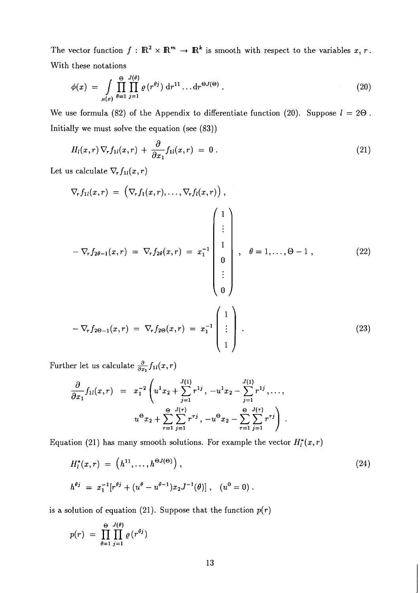The vector function  $f : \mathbb{R}^2 \times \mathbb{R}^m \to \mathbb{R}^k$  is smooth with respect to the variables  $x, r$ . With these notations

$$
\phi(x) = \int\limits_{\mu(x)} \prod_{\theta=1}^{\Theta} \prod_{j=1}^{J(\theta)} \varrho(r^{\theta j}) dr^{11} \dots dr^{\Theta J(\Theta)}.
$$
 (20)

We use formula (82) of the Appendix to differentiate function (20). Suppose  $l = 2\Theta$ . Initially we must solve the equation (see **(83))** 

$$
H_l(x,r)\nabla_r f_{1l}(x,r) + \frac{\partial}{\partial x_1} f_{1l}(x,r) = 0.
$$
\n(21)

Let us calculate  $\nabla_{\!r} f_{1l}(x,r)$ 

$$
\nabla_r f_{1l}(x,r) = \left(\nabla_r f_1(x,r), \ldots, \nabla_r f_l(x,r)\right),
$$
\n
$$
-\nabla_r f_{2\theta-1}(x,r) = \nabla_r f_{2\theta}(x,r) = x_1^{-1} \begin{pmatrix} 1 \\ \vdots \\ 1 \\ 0 \\ \vdots \\ 0 \end{pmatrix}, \quad \theta = 1, \ldots, \Theta - 1, \tag{22}
$$
\n
$$
-\nabla_r f_{2\theta-1}(x,r) = \nabla_r f_{2\theta}(x,r) = x_1^{-1} \begin{pmatrix} 1 \\ \vdots \\ 1 \end{pmatrix}.
$$
\n
$$
(23)
$$

Further let us calculate  $\frac{\partial}{\partial x_1} f_{1l}(x,r)$ 

$$
\frac{\partial}{\partial x_1} f_{1l}(x,r) = x_1^{-2} \left( u^1 x_2 + \sum_{j=1}^{J(1)} r^{1j}, -u^1 x_2 - \sum_{j=1}^{J(1)} r^{1j}, \dots, u^{\Theta} x_2 + \sum_{r=1}^{\Theta} \sum_{j=1}^{J(\tau)} r^{rj}, -u^{\Theta} x_2 - \sum_{r=1}^{\Theta} \sum_{j=1}^{J(\tau)} r^{rj} \right).
$$

Equation (21) has many smooth solutions. For example the vector  $H_l^*(x, r)$ 

$$
H_l^*(x, r) = (h^{11}, \dots, h^{\Theta J(\Theta)}),
$$
  
\n
$$
h^{\theta j} = x_1^{-1} [r^{\theta j} + (u^{\theta} - u^{\theta - 1}) x_2 J^{-1}(\theta)], \quad (u^0 = 0).
$$
\n(24)

is a solution of equation (21). Suppose that the function  $p(r)$ 

$$
p(r) = \prod_{\theta=1}^{\Theta} \prod_{j=1}^{J(\theta)} \varrho(r^{\theta j})
$$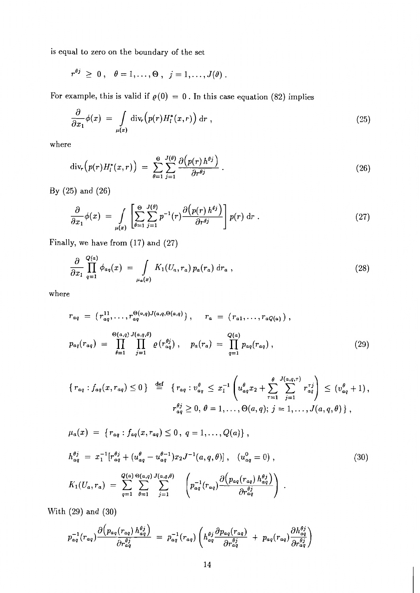is equal to zero on the boundary of the set

$$
r^{\theta j} \geq 0 \,, \quad \theta = 1, \ldots, \Theta \,, \quad j = 1, \ldots, J(\theta) \,.
$$

For example, this is valid if  $\rho(0) = 0$ . In this case equation (82) implies

$$
\frac{\partial}{\partial x_1} \phi(x) = \int\limits_{\mu(x)} \text{div}_r \Big( p(r) H_l^*(x, r) \Big) \, \text{d}r \;, \tag{25}
$$

where

$$
\operatorname{div}_r(p(r)H_l^*(x,r)) = \sum_{\theta=1}^{\Theta} \sum_{j=1}^{J(\theta)} \frac{\partial (p(r) \, h^{\theta j})}{\partial r^{\theta j}} \, . \tag{26}
$$

By *(25)* and *(26)* 

$$
\frac{\partial}{\partial x_1} \phi(x) = \int\limits_{\mu(x)} \left[ \sum_{\theta=1}^{\Theta} \sum_{j=1}^{J(\theta)} p^{-1}(r) \frac{\partial (p(r) h^{\theta j})}{\partial r^{\theta j}} \right] p(r) dr . \tag{27}
$$

Finally, we have from *(17)* and *(27)* 

$$
\frac{\partial}{\partial x_1} \prod_{q=1}^{Q(a)} \phi_{aq}(x) = \int_{\mu_a(x)} K_1(U_a, r_a) p_a(r_a) dr_a , \qquad (28)
$$

where

$$
r_{aq} = (r_{aq}^{11}, \dots, r_{aq}^{\Theta(a,q)J(a,q,\Theta(a,q)}), \quad r_a = (r_{a1}, \dots, r_{aQ(a)}),
$$
  
\n
$$
p_{aq}(r_{aq}) = \prod_{\theta=1}^{\Theta(a,q)J(a,q,\theta)} \prod_{j=1}^{\Theta(a,q)J(a,q,\theta)} \varrho(r_{aq}^{\theta j}), \quad p_a(r_a) = \prod_{q=1}^{Q(a)} p_{aq}(r_{aq}),
$$
\n(29)

$$
\{r_{aq} : f_{aq}(x, r_{aq}) \le 0\} \stackrel{\text{def}}{=} \{r_{aq} : v_{aq}^{\theta} \le x_1^{-1} \left(u_{aq}^{\theta} x_2 + \sum_{\tau=1}^{\theta} \sum_{j=1}^{J(a,q,\tau)} r_{aq}^{\tau j} \right) \le (v_{aq}^{\theta} + 1),
$$
  

$$
r_{aq}^{\theta j} \ge 0, \theta = 1, ..., \Theta(a,q); j = 1, ..., J(a,q,\theta)\},
$$

$$
\mu_{a}(x) = \{r_{aq} : f_{aq}(x, r_{aq}) \le 0, q = 1, ..., Q(a)\},
$$
\n
$$
h_{aq}^{\theta j} = x_{1}^{-1}[r_{aq}^{\theta j} + (u_{aq}^{\theta} - u_{aq}^{\theta - 1})x_{2}J^{-1}(a, q, \theta)], (u_{aq}^{\theta} = 0),
$$
\n
$$
K_{1}(U_{a}, r_{a}) = \sum_{q=1}^{Q(a)} \sum_{\theta=1}^{Q(a)} \sum_{j=1}^{Q(a,q)} \left( p_{aq}^{-1}(r_{aq}) \frac{\partial (p_{aq}(r_{aq}) h_{aq}^{\theta j})}{\partial r_{aq}^{\theta j}} \right).
$$
\n
$$
(30)
$$

With *(29)* and *(30)* 

$$
p_{aq}^{-1}(r_{aq})\frac{\partial \left(p_{aq}(r_{aq})\,h_{aq}^{\theta j}\right)}{\partial r_{aq}^{\theta j}} = p_{aq}^{-1}(r_{aq})\left(h_{aq}^{\theta j}\frac{\partial p_{aq}(r_{aq})}{\partial r_{aq}^{\theta j}} + p_{aq}(r_{aq})\frac{\partial h_{aq}^{\theta j}}{\partial r_{aq}^{\theta j}}\right)
$$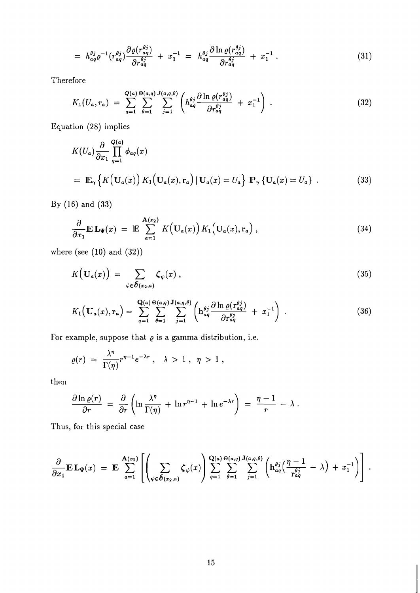$$
= h_{aq}^{\theta j} \varrho^{-1} (r_{aq}^{\theta j}) \frac{\partial \varrho (r_{aq}^{\theta j})}{\partial r_{aq}^{\theta j}} + x_1^{-1} = h_{aq}^{\theta j} \frac{\partial \ln \varrho (r_{aq}^{\theta j})}{\partial r_{aq}^{\theta j}} + x_1^{-1} . \qquad (31)
$$

Therefore

$$
K_1(U_a, r_a) = \sum_{q=1}^{Q(a)} \sum_{\theta=1}^{\Theta(a,q)} \sum_{j=1}^{J(a,q,\theta)} \left( h_{aq}^{\theta j} \frac{\partial \ln \varrho(r_{aq}^{\theta j})}{\partial r_{aq}^{\theta j}} + x_1^{-1} \right) . \tag{32}
$$

Equation (28) implies

$$
K(U_a) \frac{\partial}{\partial x_1} \prod_{q=1}^{Q(a)} \phi_{aq}(x)
$$
  
=  $\mathbb{E}_{\gamma} \left\{ K(\mathbf{U}_a(x)) K_1(\mathbf{U}_a(x), \mathbf{r}_a) | \mathbf{U}_a(x) = U_a \right\} \mathbb{P}_{\gamma} \left\{ \mathbf{U}_a(x) = U_a \right\}.$  (33)

By (16) and (33)

$$
\frac{\partial}{\partial x_1} \mathbb{E} \mathbf{L}_{\Psi}(x) = \mathbb{E} \sum_{a=1}^{\mathbf{A}(x_2)} K(\mathbf{U}_a(x)) K_1(\mathbf{U}_a(x), \mathbf{r}_a), \qquad (34)
$$

where (see  $(10)$  and  $(32)$ )

$$
K\Big(\mathbf{U}_a(x)\Big) = \sum_{\psi \in \boldsymbol{\delta}(x_2, a)} \boldsymbol{\zeta}_{\psi}(x) , \qquad (35)
$$

$$
K_1\left(\mathbf{U}_a(x),\mathbf{r}_a\right) = \sum_{q=1}^{\mathbf{Q}(a)} \sum_{\theta=1}^{\Theta(a,q)} \sum_{j=1}^{\mathbf{J}(a,q,\theta)} \left(\mathbf{h}_{aq}^{\theta j} \frac{\partial \ln \varrho(\mathbf{r}_{aq}^{\theta j})}{\partial \mathbf{r}_{aq}^{\theta j}} + x_1^{-1}\right) \,. \tag{36}
$$

For example, suppose that  $\varrho$  is a gamma distribution, i.e.

$$
\varrho(r) = \frac{\lambda^{\eta}}{\Gamma(\eta)} r^{\eta-1} e^{-\lambda r} , \quad \lambda > 1 , \quad \eta > 1 ,
$$

then

$$
\frac{\partial \ln \varrho(r)}{\partial r} = \frac{\partial}{\partial r} \left( \ln \frac{\lambda^{\eta}}{\Gamma(\eta)} + \ln r^{\eta-1} + \ln e^{-\lambda r} \right) = \frac{\eta-1}{r} - \lambda.
$$

Thus, for this special case

$$
\frac{\partial}{\partial x_1} \mathbb{E} \, \mathbf{L}_{\Psi}(x) = \mathbb{E} \sum_{a=1}^{\mathbf{A}(x_2)} \left[ \left( \sum_{\psi \in \delta(x_2, a)} \zeta_{\psi}(x) \right) \sum_{q=1}^{\mathbf{Q}(a)} \sum_{\theta=1}^{\Theta(a,q)} \sum_{j=1}^{\mathbf{J}(a,q,\theta)} \left( \mathbf{h}_{aq}^{\theta j} \left( \frac{\eta - 1}{\mathbf{r}_{aq}^{\theta j}} - \lambda \right) + x_1^{-1} \right) \right] .
$$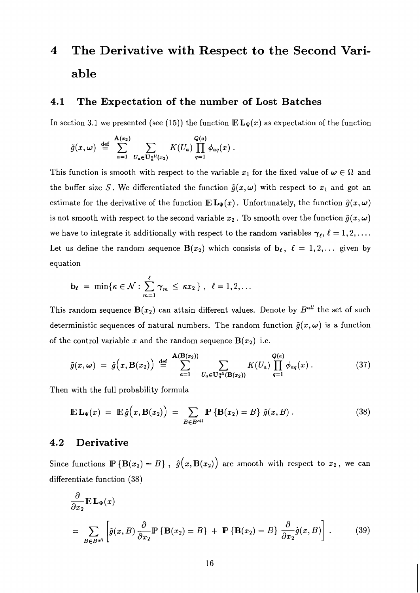# **4 The Derivative with Respect to the Second Variable**

#### **4.1 The Expectation of the number of Lost Batches**

In section 3.1 we presented (see (15)) the function  $E L_{\Psi}(x)$  as expectation of the function

$$
\tilde{g}(x,\omega) \stackrel{\text{def}}{=} \sum_{a=1}^{\mathbf{A}(x_2)} \sum_{U_a \in \mathbf{U}_a^{all}(x_2)} K(U_a) \prod_{q=1}^{Q(a)} \phi_{aq}(x)
$$

This function is smooth with respect to the variable  $x_1$  for the fixed value of  $\omega \in \Omega$  and the buffer size S. We differentiated the function  $\tilde{g}(x,\omega)$  with respect to  $x_1$  and got an estimate for the derivative of the function  $\mathbb{E} \mathbf{L}_{\Psi}(x)$ . Unfortunately, the function  $\tilde{g}(x, \omega)$ is not smooth with respect to the second variable  $x_2$ . To smooth over the function  $\tilde{g}(x,\omega)$ we have to integrate it additionally with respect to the random variables  $\gamma_{\ell}, \ell = 1, 2, \ldots$ . Let us define the random sequence  $B(x_2)$  which consists of  $b_\ell$ ,  $\ell = 1, 2, \ldots$  given by equation

$$
\mathbf{b}_{\ell} = \min \{ \kappa \in \mathcal{N} : \sum_{m=1}^{\ell} \gamma_m \leq \kappa x_2 \}, \quad \ell = 1, 2, \ldots
$$

This random sequence  $B(x_2)$  can attain different values. Denote by  $B^{all}$  the set of such deterministic sequences of natural numbers. The random function  $\tilde{g}(x,\omega)$  is a function of the control variable x and the random sequence  $B(x_2)$  i.e.

$$
\tilde{g}(x,\omega) = \hat{g}\Big(x,\mathbf{B}(x_2)\Big) \stackrel{\text{def}}{=} \sum_{a=1}^{\mathbf{A}(\mathbf{B}(x_2))} \sum_{U_a \in \mathbf{U}_a^{all}(\mathbf{B}(x_2))} K(U_a) \prod_{q=1}^{Q(a)} \phi_{aq}(x) . \tag{37}
$$

Then with the full probability formula

$$
\mathbb{E} \mathbf{L}_{\Psi}(x) = \mathbb{E} \hat{g}(x, \mathbf{B}(x_2)) = \sum_{B \in B^{all}} \mathbb{P} \left\{ \mathbf{B}(x_2) = B \right\} \hat{g}(x, B) . \tag{38}
$$

#### **4.2 Derivative**

Since functions  $\mathbb{P} \{ \mathbf{B}(x_2) = B \}$ ,  $\hat{g}(x, \mathbf{B}(x_2))$  are smooth with respect to  $x_2$ , we can differentiate function *(38)* 

$$
\frac{\partial}{\partial x_2} \mathbb{E} \mathbf{L}_{\Psi}(x)
$$
\n
$$
= \sum_{B \in B^{all}} \left[ \hat{g}(x, B) \frac{\partial}{\partial x_2} \mathbb{P} \left\{ \mathbf{B}(x_2) = B \right\} + \mathbb{P} \left\{ \mathbf{B}(x_2) = B \right\} \frac{\partial}{\partial x_2} \hat{g}(x, B) \right].
$$
\n(39)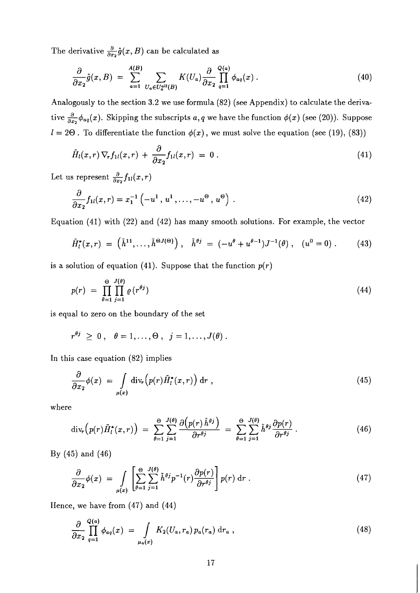The derivative  $\frac{\partial}{\partial x_2}\hat{g}(x, B)$  can be calculated as

$$
\frac{\partial}{\partial x_2}\hat{g}(x,B) = \sum_{a=1}^{A(B)} \sum_{U_a \in U_a^{all}(B)} K(U_a) \frac{\partial}{\partial x_2} \prod_{q=1}^{Q(a)} \phi_{aq}(x) . \tag{40}
$$

Analogously to the section 3.2 we use formula (82) (see Appendix) to calculate the derivative  $\frac{\partial}{\partial x_2}\phi_{aq}(x)$ . Skipping the subscripts *a*, *q* we have the function  $\phi(x)$  (see (20)). Suppose  $l = 2\Theta$ . To differentiate the function  $\phi(x)$ , we must solve the equation (see (19), (83))

$$
\tilde{H}_l(x,r)\nabla_r f_{1l}(x,r) + \frac{\partial}{\partial x_2} f_{1l}(x,r) = 0.
$$
\n(41)

Let us represent  $\frac{\partial}{\partial x_2} f_{1l}(x,r)$ 

$$
\frac{\partial}{\partial x_2} f_{1l}(x,r) = x_1^{-1} \left(-u^1, u^1, \dots, -u^\Theta, u^\Theta\right) . \tag{42}
$$

Equation (41) with (22) and (42) has many smooth solutions. For example, the vector

$$
\tilde{H}_l^*(x,r) = (\tilde{h}^{11}, \dots, \tilde{h}^{\Theta J(\Theta)}), \quad \tilde{h}^{\theta j} = (-u^{\theta} + u^{\theta-1})J^{-1}(\theta), \quad (u^0 = 0). \tag{43}
$$

is a solution of equation (41). Suppose that the function  $p(r)$ 

$$
p(r) = \prod_{\theta=1}^{\Theta} \prod_{j=1}^{J(\theta)} \varrho(r^{\theta j}) \tag{44}
$$

is equal to zero on the boundary of the set

$$
r^{\theta j} \geq 0 \,, \quad \theta = 1, \ldots, \Theta \,, \quad j = 1, \ldots, J(\theta)
$$

In this case equation (82) implies

$$
\frac{\partial}{\partial x_2} \phi(x) = \int\limits_{\mu(x)} \text{div}_r \Big( p(r) \tilde{H}_l^*(x, r) \Big) \, \text{d}r \;, \tag{45}
$$

where

$$
\operatorname{div}_r(p(r)\tilde{H}_l^*(x,r)) = \sum_{\theta=1}^{\Theta} \sum_{j=1}^{J(\theta)} \frac{\partial(p(r)\tilde{h}^{\theta j})}{\partial r^{\theta j}} = \sum_{\theta=1}^{\Theta} \sum_{j=1}^{J(\theta)} \tilde{h}^{\theta j} \frac{\partial p(r)}{\partial r^{\theta j}}.
$$
(46)

By (45) and (46)

$$
\frac{\partial}{\partial x_2} \phi(x) = \int\limits_{\mu(x)} \left[ \sum_{\theta=1}^{\Theta} \sum_{j=1}^{J(\theta)} \tilde{h}^{\theta j} p^{-1}(r) \frac{\partial p(r)}{\partial r^{\theta j}} \right] p(r) \, \mathrm{d}r \,. \tag{47}
$$

Hence, we have from (47) and (44)

$$
\frac{\partial}{\partial x_2} \prod_{q=1}^{Q(a)} \phi_{aq}(x) = \int_{\mu_a(x)} K_2(U_a, r_a) p_a(r_a) dr_a , \qquad (48)
$$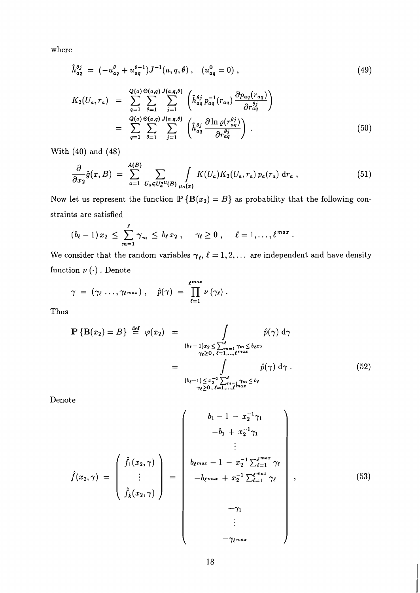where

$$
\tilde{h}_{aq}^{\theta j} = (-u_{aq}^{\theta} + u_{aq}^{\theta - 1})J^{-1}(a, q, \theta), \quad (u_{aq}^0 = 0), \qquad (49)
$$

$$
K_2(U_a, r_a) = \sum_{q=1}^{Q(a)} \sum_{\theta=1}^{Q(a,q)} \sum_{j=1}^{J(a,q,\theta)} \left( \tilde{h}_{aq}^{\theta j} p_{aq}^{-1}(r_{aq}) \frac{\partial p_{aq}(r_{aq})}{\partial r_{aq}^{\theta j}} \right)
$$
  

$$
= \sum_{q=1}^{Q(a)} \sum_{\theta=1}^{Q(a,q)} \sum_{j=1}^{J(a,q,\theta)} \left( \tilde{h}_{aq}^{\theta j} \frac{\partial \ln \varrho(r_{aq}^{\theta j})}{\partial r_{aq}^{\theta j}} \right).
$$
(50)

With *(40)* and *(48)* 

$$
\frac{\partial}{\partial x_2}\hat{g}(x,B) = \sum_{a=1}^{A(B)} \sum_{U_a \in U_a^{all}(B)} \int_{\mu_a(x)} K(U_a)K_2(U_a,r_a) p_a(r_a) dr_a , \qquad (51)
$$

Now let us represent the function  $\mathbb{P} \{ \mathbf{B}(x_2) = B \}$  as probability that the following constraints are satisfied

$$
(b_{\ell}-1)x_2 \leq \sum_{m=1}^{\ell} \gamma_m \leq b_{\ell} x_2, \quad \gamma_{\ell} \geq 0, \quad \ell=1,\ldots,\ell^{max}
$$

We consider that the random variables  $\gamma_{\ell}$ ,  $\ell = 1, 2, \ldots$  are independent and have density function  $\nu(\cdot)$ . Denote

$$
\gamma = (\gamma_{\ell} \ldots, \gamma_{\ell^{max}}), \quad \hat{p}(\gamma) = \prod_{\ell=1}^{\ell^{max}} \nu(\gamma_{\ell}).
$$

Thus

$$
\mathbb{P}\left\{\mathbf{B}(x_2) = B\right\} \stackrel{\text{def}}{=} \varphi(x_2) = \int_{\substack{(b_\ell - 1)x_2 \le \sum_{m=1}^\ell \gamma_m \le b_\ell x_2 \\ \gamma_\ell \ge 0, \ell = 1, \dots, \ell^{max}}} \hat{p}(\gamma) \, d\gamma
$$
\n
$$
= \int_{\substack{(b_\ell - 1) \le x_2^{-1} \sum_{m=1}^\ell \gamma_m \le b_\ell \\ \gamma_\ell \ge 0, \ell = 1, \dots, \ell^{max}}} \hat{p}(\gamma) \, d\gamma \, . \tag{52}
$$

Denote

$$
\hat{f}(x_2, \gamma) = \begin{pmatrix} \hat{f}_1(x_2, \gamma) \\ \vdots \\ \hat{f}_k(x_2, \gamma) \end{pmatrix} = \begin{pmatrix} b_1 - 1 - x_2^{-1} \gamma_1 \\ \vdots \\ b_{\ell^{max}} - 1 - x_2^{-1} \sum_{\ell=1}^{\ell^{max}} \gamma_\ell \\ -b_{\ell^{max}} + x_2^{-1} \sum_{\ell=1}^{\ell^{max}} \gamma_\ell \\ -\gamma_1 \\ \vdots \\ -\gamma_{\ell^{max}} \end{pmatrix}, \qquad (53)
$$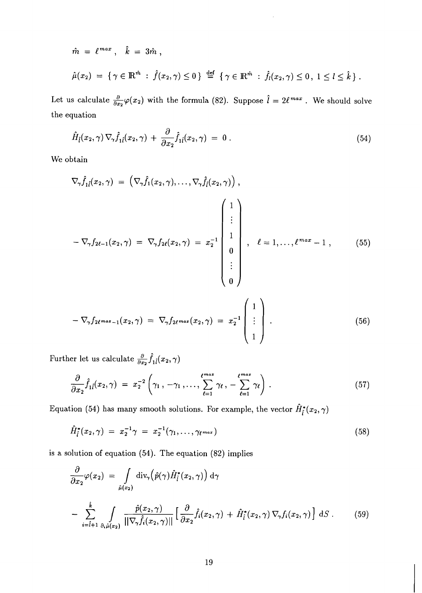$$
\hat{m} = \ell^{max}, \quad \hat{k} = 3\hat{m},
$$
  

$$
\hat{\mu}(x_2) = \{ \gamma \in \mathbb{R}^{\hat{m}} : \hat{f}(x_2, \gamma) \le 0 \} \stackrel{\text{def}}{=} \{ \gamma \in \mathbb{R}^{\hat{m}} : \hat{f}_l(x_2, \gamma) \le 0, 1 \le l \le \hat{k} \}.
$$

Let us calculate  $\frac{\partial}{\partial x_2}\varphi(x_2)$  with the formula (82). Suppose  $\hat{l} = 2\ell^{max}$ . We should solve the equation

$$
\hat{H}_{\hat{i}}(x_2,\gamma)\nabla_{\gamma}\hat{f}_{1\hat{i}}(x_2,\gamma) + \frac{\partial}{\partial x_2}\hat{f}_{1\hat{i}}(x_2,\gamma) = 0.
$$
\n(54)

We obtain

$$
\nabla_{\gamma} \hat{f}_{1\hat{l}}(x_2, \gamma) = (\nabla_{\gamma} \hat{f}_1(x_2, \gamma), \dots, \nabla_{\gamma} \hat{f}_{\hat{l}}(x_2, \gamma)),
$$
\n
$$
-\nabla_{\gamma} f_{2\ell-1}(x_2, \gamma) = \nabla_{\gamma} f_{2\ell}(x_2, \gamma) = x_2^{-1} \begin{bmatrix} 1 \\ \vdots \\ 1 \\ 0 \\ \vdots \\ 0 \end{bmatrix}, \quad \ell = 1, \dots, \ell^{max} - 1 , \qquad (55)
$$
\n
$$
\begin{pmatrix} 1 \\ \end{pmatrix}
$$

$$
-\nabla_{\gamma} f_{2\ell^{max}-1}(x_2,\gamma) = \nabla_{\gamma} f_{2\ell^{max}}(x_2,\gamma) = x_2^{-1} \begin{bmatrix} 1 \\ \vdots \\ 1 \end{bmatrix} . \tag{56}
$$

Further let us calculate  $\frac{\partial}{\partial x_2} \hat{f}_{1 \hat{l}}(x_2, \gamma)$ 

$$
\frac{\partial}{\partial x_2} \hat{f}_{1\hat{l}}(x_2, \gamma) = x_2^{-2} \left( \gamma_1, -\gamma_1, \dots, \sum_{\ell=1}^{\ell^{max}} \gamma_\ell, -\sum_{\ell=1}^{\ell^{max}} \gamma_\ell \right). \tag{57}
$$

Equation (54) has many smooth solutions. For example, the vector  $\hat{H}_{\tilde{l}}^*(x_2, \gamma)$ 

$$
\hat{H}_i^*(x_2, \gamma) = x_2^{-1} \gamma = x_2^{-1}(\gamma_1, \dots, \gamma_{\ell^{max}})
$$
\n(58)

is a solution of equation *(54).* The equation *(82)* implies

$$
\frac{\partial}{\partial x_2} \varphi(x_2) = \int_{\hat{\mu}(x_2)} \text{div}_{\gamma} (\hat{p}(\gamma) \hat{H}_i^*(x_2, \gamma)) d\gamma
$$

$$
- \sum_{i=\hat{i}+1}^{\hat{k}} \int_{\partial_i \hat{\mu}(x_2)} \frac{\hat{p}(x_2, \gamma)}{\|\nabla_{\gamma} \hat{f}_i(x_2, \gamma)\|} \left[ \frac{\partial}{\partial x_2} \hat{f}_i(x_2, \gamma) + \hat{H}_i^*(x_2, \gamma) \nabla_{\gamma} f_i(x_2, \gamma) \right] dS . \tag{59}
$$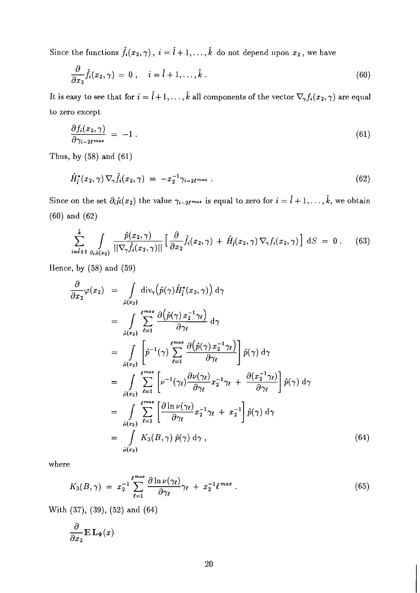Since the functions  $\hat{f}_i(x_2, \gamma)$ ,  $i = \hat{l} + 1, \ldots, \hat{k}$  do not depend upon  $x_2$ , we have

$$
\frac{\partial}{\partial x_2} \hat{f}_i(x_2, \gamma) = 0 , \quad i = \hat{l} + 1, \dots, \hat{k} . \tag{60}
$$

It is easy to see that for  $i = \hat{i} + 1, \ldots, \hat{k}$  all components of the vector  $\nabla_{\gamma} f_i(x_2, \gamma)$  are equal to zero except

$$
\frac{\partial f_i(x_2, \gamma)}{\partial \gamma_{i-2\ell^{max}}} = -1 \tag{61}
$$

Thus, by (58) and (61)

$$
\hat{H}_i^*(x_2, \gamma) \nabla_{\gamma} \hat{f}_i(x_2, \gamma) = -x_2^{-1} \gamma_{i-2\ell^{max}} \ . \tag{62}
$$

Since on the set  $\partial_i \hat{\mu}(x_2)$  the value  $\gamma_{i-2\ell^{max}}$  is equal to zero for  $i = \hat{i} + 1, \ldots, \hat{k}$ , we obtain (60) and (62)

$$
\sum_{i=\hat{i}+1}^{\hat{k}} \int \frac{\hat{p}(x_2,\gamma)}{\|\nabla_{\gamma}\hat{f}_i(x_2,\gamma)\|} \left[\frac{\partial}{\partial x_2}\hat{f}_i(x_2,\gamma) + \hat{H}_{\hat{i}}(x_2,\gamma)\nabla_{\gamma}f_i(x_2,\gamma)\right] dS = 0.
$$
 (63)

Hence, by (58) and (59)

$$
\frac{\partial}{\partial x_2} \varphi(x_2) = \int_{\hat{\mu}(x_2)} \text{div}_{\gamma} (\hat{p}(\gamma) \hat{H}_l^*(x_2, \gamma)) d\gamma
$$
\n
$$
= \int_{\hat{\mu}(x_2)} \sum_{\ell=1}^{\ell^{max}} \frac{\partial (\hat{p}(\gamma) x_2^{-1} \gamma_{\ell})}{\partial \gamma_{\ell}} d\gamma
$$
\n
$$
= \int_{\hat{\mu}(x_2)} \left[ \hat{p}^{-1}(\gamma) \sum_{\ell=1}^{\ell^{max}} \frac{\partial (\hat{p}(\gamma) x_2^{-1} \gamma_{\ell})}{\partial \gamma_{\ell}} \right] \hat{p}(\gamma) d\gamma
$$
\n
$$
= \int_{\hat{\mu}(x_2)} \sum_{\ell=1}^{\ell^{max}} \left[ \nu^{-1}(\gamma_{\ell}) \frac{\partial \nu(\gamma_{\ell})}{\partial \gamma_{\ell}} x_2^{-1} \gamma_{\ell} + \frac{\partial (x_2^{-1} \gamma_{\ell})}{\partial \gamma_{\ell}} \right] \hat{p}(\gamma) d\gamma
$$
\n
$$
= \int_{\hat{\mu}(x_2)} \sum_{\ell=1}^{\ell^{max}} \left[ \frac{\partial \ln \nu(\gamma_{\ell})}{\partial \gamma_{\ell}} x_2^{-1} \gamma_{\ell} + x_2^{-1} \right] \hat{p}(\gamma) d\gamma
$$
\n
$$
= \int_{\hat{\mu}(x_2)} K_3(B, \gamma) \hat{p}(\gamma) d\gamma , \qquad (64)
$$

where

$$
K_3(B,\gamma) = x_2^{-1} \sum_{\ell=1}^{\ell^{max}} \frac{\partial \ln \nu(\gamma_{\ell})}{\partial \gamma_{\ell}} \gamma_{\ell} + x_2^{-1} \ell^{max} . \qquad (65)
$$

With (37), (39), (52) and (64)

$$
\frac{\partial}{\partial x_2}\mathbb{E}\,\mathbf{L}_{\Psi}(x)
$$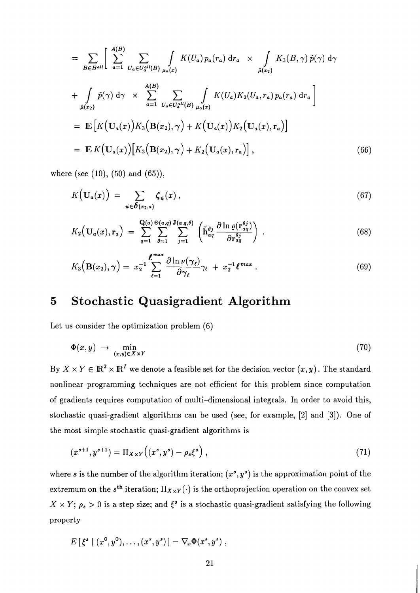$$
= \sum_{B \in B^{all}} \left[ \sum_{a=1}^{A(B)} \sum_{U_a \in U_a^{all}(B)} \int_{\mu_a(x)} K(U_a) p_a(r_a) dr_a \times \int_{\hat{\mu}(x_2)} K_3(B, \gamma) \hat{p}(\gamma) d\gamma \right]
$$
  
+ 
$$
\int_{\hat{\mu}(x_2)} \hat{p}(\gamma) d\gamma \times \sum_{a=1}^{A(B)} \sum_{U_a \in U_a^{all}(B)} \int_{\mu_a(x)} K(U_a) K_2(U_a, r_a) p_a(r_a) dr_a \right]
$$
  
= 
$$
\mathbb{E} \left[ K(\mathbf{U}_a(x)) K_3(\mathbf{B}(x_2), \gamma) + K(\mathbf{U}_a(x)) K_2(\mathbf{U}_a(x), r_a) \right]
$$
  
= 
$$
\mathbb{E} K(\mathbf{U}_a(x)) \left[ K_3(\mathbf{B}(x_2), \gamma) + K_2(\mathbf{U}_a(x), r_a) \right],
$$
 (66)

where (see  $(10)$ ,  $(50)$  and  $(65)$ ),

$$
K\big(\mathbf{U}_a(x)\big) = \sum_{\psi \in \boldsymbol{\delta}(x_2, a)} \boldsymbol{\zeta}_{\psi}(x) , \qquad (67)
$$

$$
K_2\left(\mathbf{U}_a(x),\mathbf{r}_a\right) = \sum_{q=1}^{\mathbf{Q}(a)} \sum_{\theta=1}^{\Theta(a,q)} \sum_{j=1}^{\mathbf{J}(a,q,\theta)} \left(\tilde{\mathbf{h}}_{aq}^{\theta j} \frac{\partial \ln \varrho(\mathbf{r}_{aq}^{\theta j})}{\partial \mathbf{r}_{aq}^{\theta j}}\right).
$$
(68)

$$
K_3(\mathbf{B}(x_2),\boldsymbol{\gamma}) = x_2^{-1} \sum_{\ell=1}^{\ell^{max}} \frac{\partial \ln \nu(\boldsymbol{\gamma}_{\ell})}{\partial \boldsymbol{\gamma}_{\ell}} \gamma_{\ell} + x_2^{-1} \ell^{max} . \qquad (69)
$$

## **5 Stochastic Quasigradient Algorithm**

Let us consider the optimization problem (6)

$$
\Phi(x,y) \rightarrow \min_{(x,y)\in X\times Y} \tag{70}
$$

By  $X \times Y \in \mathbb{R}^2 \times \mathbb{R}^I$  we denote a feasible set for the decision vector  $(x, y)$ . The standard nonlinear programming techniques are not efficient for this problem since computation of gradients requires computation of multi-dimensional integrals. In order to avoid this, stochastic quasi-gradient algorithms can be used (see, for example, [2] and **[3]).** One of the most simple stochastic quasi-gradient algorithms is

$$
(x^{s+1}, y^{s+1}) = \Pi_{X \times Y} ((x^s, y^s) - \rho_s \xi^s), \qquad (71)
$$

where s is the number of the algorithm iteration;  $(x^s, y^s)$  is the approximation point of the extremum on the s<sup>th</sup> iteration;  $\Pi_{\mathbf{X}\times\mathbf{Y}}(\cdot)$  is the orthoprojection operation on the convex set  $X \times Y$ ;  $\rho_s > 0$  is a step size; and  $\xi^s$  is a stochastic quasi-gradient satisfying the following property

$$
E[\xi^s | (x^0, y^0), \ldots, (x^s, y^s)] = \nabla_x \Phi(x^s, y^s) ,
$$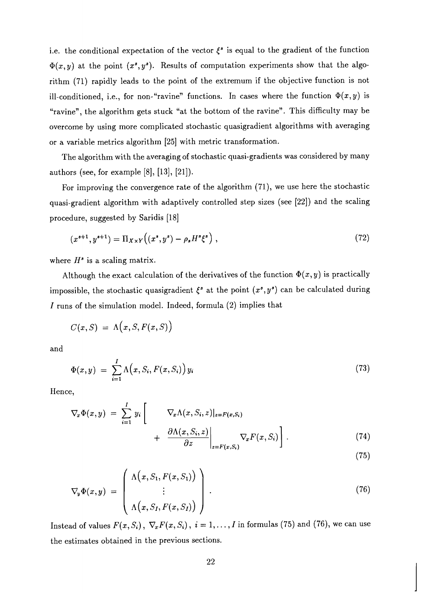i.e. the conditional expectation of the vector  $\xi^s$  is equal to the gradient of the function  $\Phi(x, y)$  at the point  $(x^s, y^s)$ . Results of computation experiments show that the algorithm (71) rapidly leads to the point of the extremum if the objective function is not ill-conditioned, i.e., for non-"ravine" functions. In cases where the function  $\Phi(x, y)$  is "ravine", the algorithm gets stuck "at the bottom of the ravine". This difficulty may be overcome by using more complicated stochastic quasigradient algorithms with averaging or a variable metrics algorithm [25] with metric transformation.

The algorithm with the averaging of stochastic quasi-gradients was considered by many authors (see, for example [8], [13], [21]).

For improving the convergence rate of the algorithm  $(71)$ , we use here the stochastic quasi-gradient algorithm with adaptively controlled step sizes (see [22]) and the scaling procedure, suggested by Saridis [18]

$$
(x^{s+1}, y^{s+1}) = \Pi_{X \times Y} ((x^s, y^s) - \rho_s H^s \xi^s), \qquad (72)
$$

where  $H^s$  is a scaling matrix.

Although the exact calculation of the derivatives of the function  $\Phi(x, y)$  is practically impossible, the stochastic quasigradient  $\xi^s$  at the point  $(x^s, y^s)$  can be calculated during I runs of the simulation model. Indeed, formula (2) implies that

$$
C(x, S) = \Lambda(x, S, F(x, S))
$$

and

$$
\Phi(x,y) = \sum_{i=1}^{I} \Lambda\big(x, S_i, F(x, S_i)\big) y_i \tag{73}
$$

Hence,

$$
\nabla_x \Phi(x, y) = \sum_{i=1}^I y_i \left[ \nabla_x \Lambda(x, S_i, z)|_{z = F(x, S_i)} + \frac{\partial \Lambda(x, S_i, z)}{\partial z} \bigg|_{z = F(x, S_i)} \nabla_x F(x, S_i) \right].
$$
\n(74)

$$
-(75)
$$

$$
\nabla_{y} \Phi(x, y) = \begin{pmatrix} \Lambda(x, S_1, F(x, S_1)) \\ \vdots \\ \Lambda(x, S_I, F(x, S_I)) \end{pmatrix} . \tag{76}
$$

Instead of values  $F(x, S_i)$ ,  $\nabla_x F(x, S_i)$ ,  $i = 1, ..., I$  in formulas (75) and (76), we can use the estimates obtained in the previous sections.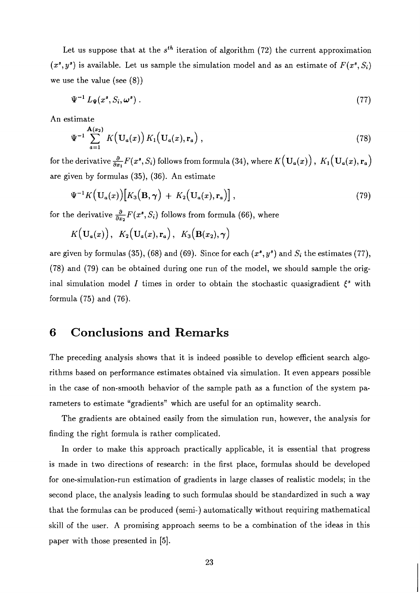Let us suppose that at the  $s^{th}$  iteration of algorithm (72) the current approximation  $(x^s, y^s)$  is available. Let us sample the simulation model and as an estimate of  $F(x^s, S_i)$ we use the value (see (8))

$$
\Psi^{-1} L_{\Psi}(x^s, S_i, \omega^s) . \tag{77}
$$

An estimate

$$
\Psi^{-1} \sum_{a=1}^{\mathbf{A}(x_2)} K(\mathbf{U}_a(x)) K_1(\mathbf{U}_a(x), \mathbf{r}_a) , \qquad (78)
$$

for the derivative  $\frac{\partial}{\partial x_1}F(x^*, S_i)$  follows from formula (34), where  $K(\mathbf{U}_a(x))$ ,  $K_1(\mathbf{U}_a(x), \mathbf{r}_a)$ are given by formulas (35), (36). An estimate

$$
\Psi^{-1}K\big(\mathbf{U}_a(x)\big)\big[K_3\big(\mathbf{B},\boldsymbol{\gamma}\big) + K_2\big(\mathbf{U}_a(x),\mathbf{r}_a\big)\big]\,,\tag{79}
$$

for the derivative  $\frac{\partial}{\partial x_2}F(x^*, S_i)$  follows from formula (66), where

$$
K(\mathbf{U}_a(x)), K_2(\mathbf{U}_a(x), \mathbf{r}_a), K_3(\mathbf{B}(x_2), \gamma)
$$

are given by formulas (35), (68) and (69). Since for each  $(x^s, y^s)$  and  $S_i$  the estimates (77), (78) and (79) can be obtained during one run of the model, we should sample the original simulation model *I* times in order to obtain the stochastic quasigradient  $\xi^s$  with formula (75) and (76).

#### **6 Conclusions and Remarks**

The preceding analysis shows that it is indeed possible to develop efficient search algorithms based on performance estimates obtained via simulation. It even appears possible in the case of non-smooth behavior of the sample path as a function of the system parameters to estimate "gradients" which are useful for an optimality search.

The gradients are obtained easily from the simulation run, however, the analysis for finding the right formula is rather complicated.

In order to make this approach practically applicable, it is essential that progress is made in two directions of research: in the first place, formulas should be developed for one-simulation-run estimation of gradients in large classes of realistic models; in the second place, the analysis leading to such formulas should be standardized in such a way that the formulas can be produced (semi-) automatically without requiring mathematical skill of the user. A promising approach seems to be a combination of the ideas in this paper with those presented in [5].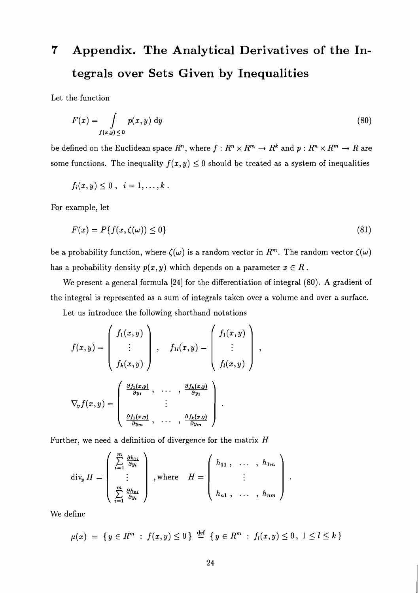# **7 Appendix. The Analytical Derivatives of the Integrals over Sets Given by Inequalities**

Let the function

$$
F(x) = \int\limits_{f(x,y)\leq 0} p(x,y) \, \mathrm{d}y \tag{80}
$$

be defined on the Euclidean space  $R^n$ , where  $f : R^n \times R^m \to R^k$  and  $p : R^n \times R^m \to R$  are some functions. The inequality  $f(x, y) \leq 0$  should be treated as a system of inequalities

$$
f_i(x,y)\leq 0\ ,\ \ i=1,\ldots,k\ .
$$

For example, let

$$
F(x) = P\{f(x,\zeta(\omega)) \le 0\} \tag{81}
$$

be a probability function, where  $\zeta(\omega)$  is a random vector in  $R^m$ . The random vector  $\zeta(\omega)$ has a probability density  $p(x, y)$  which depends on a parameter  $x \in R$ .

We present a general formula **[24]** for the differentiation of integral (80). **A** gradient of the integral is represented as a sum of integrals taken over a volume and over a surface.

 $\overline{\phantom{a}}$ 

Let us introduce the following shorthand notations

$$
f(x,y) = \begin{pmatrix} f_1(x,y) \\ \vdots \\ f_k(x,y) \end{pmatrix}, \quad f_{1l}(x,y) = \begin{pmatrix} f_1(x,y) \\ \vdots \\ f_l(x,y) \end{pmatrix}
$$

$$
\nabla_y f(x,y) = \begin{pmatrix} \frac{\partial f_1(x,y)}{\partial y_1}, \quad \cdots, \quad \frac{\partial f_k(x,y)}{\partial y_1} \\ \vdots \\ \frac{\partial f_1(x,y)}{\partial y_m}, \quad \cdots, \quad \frac{\partial f_k(x,y)}{\partial y_m} \end{pmatrix}.
$$

Further, we need a definition of divergence for the matrix  $H$ 

$$
\operatorname{div}_{y} H = \begin{pmatrix} \sum_{i=1}^{m} \frac{\partial h_{1i}}{\partial y_i} \\ \vdots \\ \sum_{i=1}^{m} \frac{\partial h_{ni}}{\partial y_i} \end{pmatrix}, \text{where} \quad H = \begin{pmatrix} h_{11}, & \dots, h_{1m} \\ \vdots \\ h_{n1}, & \dots, h_{nm} \end{pmatrix}
$$

We define

$$
\mu(x) = \{ y \in R^m : f(x, y) \le 0 \} \stackrel{\text{def}}{=} \{ y \in R^m : f_l(x, y) \le 0, 1 \le l \le k \}
$$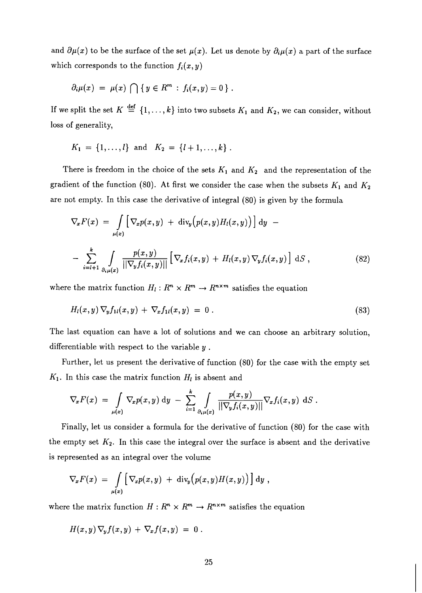and  $\partial \mu(x)$  to be the surface of the set  $\mu(x)$ . Let us denote by  $\partial_i \mu(x)$  a part of the surface which corresponds to the function  $f_i(x, y)$ 

$$
\partial_i \mu(x) = \mu(x) \cap \{y \in R^m : f_i(x,y) = 0\}.
$$

If we split the set  $K \stackrel{\text{def}}{=} \{1,\ldots,k\}$  into two subsets  $K_1$  and  $K_2$ , we can consider, without loss of generality,

$$
K_1 = \{1, ..., l\}
$$
 and  $K_2 = \{l+1, ..., k\}$ .

There is freedom in the choice of the sets  $K_1$  and  $K_2$  and the representation of the gradient of the function (80). At first we consider the case when the subsets  $K_1$  and  $K_2$ are not empty. In this case the derivative of integral (80) is given by the formula

$$
\nabla_x F(x) = \int\limits_{\mu(x)} \left[ \nabla_x p(x, y) + \text{div}_y \Big( p(x, y) H_l(x, y) \Big) \right] dy -
$$
  
- 
$$
\sum_{i=l+1}^k \int\limits_{\partial_i \mu(x)} \frac{p(x, y)}{\left| |\nabla_y f_i(x, y)| \right|} \left[ \nabla_x f_i(x, y) + H_l(x, y) \nabla_y f_i(x, y) \right] dS , \qquad (82)
$$

where the matrix function  $H_l: R^n \times R^m \to R^{n \times m}$  satisfies the equation

$$
H_l(x,y)\,\nabla_y f_{1l}(x,y)\,+\,\nabla_x f_{1l}(x,y)\,=\,0\;.
$$
\n(83)

The last equation can have a lot of solutions and we can choose an arbitrary solution, differentiable with respect to the variable y .

Further, let us present the derivative of function (80) for the case with the empty set  $K_1$ . In this case the matrix function  $H_l$  is absent and

$$
\nabla_x F(x) = \int\limits_{\mu(x)} \nabla_x p(x,y) dy - \sum_{i=1}^k \int\limits_{\partial_i \mu(x)} \frac{p(x,y)}{\vert \vert \nabla_y f_i(x,y) \vert \vert} \nabla_x f_i(x,y) dS.
$$

Finally, let us consider a formula for the derivative of function (80) for the case with the empty set  $K_2$ . In this case the integral over the surface is absent and the derivative is represented as an integral over the volume

$$
\nabla_x F(x) = \int\limits_{\mu(x)} \left[ \nabla_x p(x, y) + \mathrm{div}_y \big( p(x, y) H(x, y) \big) \right] \mathrm{d}y ,
$$

where the matrix function  $H: R^n \times R^m \to R^{n \times m}$  satisfies the equation

$$
H(x,y)\,\nabla_y f(x,y)\,+\,\nabla_x f(x,y)\;=\;0\;.
$$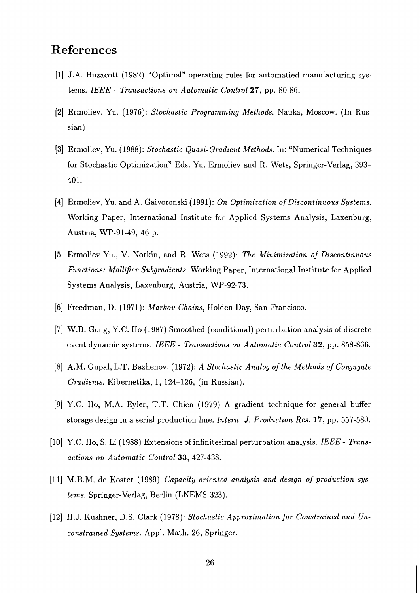### **References**

- [I] J.A. Buzacott (1982) "Optimal" operating rules for automatied manufacturing systems. *IEEE* - *Transactions on Automatic Control* 27, pp. 80-86.
- [2] Ermoliev, Yu. (1976): *Stochastic Programming Methods.* Nauka, Moscow. (In Russian)
- [3] Ermoliev, Yu. (1988): *Stochastic Quasi-Gradient Methods.* In: "Numerical Techniques for Stochastic Optimization" Eds. Yu. Ermoliev and R. Wets, Springer-Verlag, 393- 401.
- [4] Ermoliev, Yu. and A. Gaivoronski (1991) : *On Optimization of Discontinuous Systems.*  Working Paper, International Institute for Applied Systems Analysis, Laxenburg, Austria, WP-91-49, 46 p.
- [5] Ermoliev Yu., V. Norkin, and R. Wets (1992): *The Minimization of Discontinuous Functions: Mollifier Subgradients.* Working Paper, International Institute for Applied Systems Analysis, Laxenburg, Austria, WP-92-73.
- [6] Freedman, D. (1971): *Markov Chains,* Holden Day, San Francisco.
- [7] W.B. Gong, Y.C. Ho (1987) Smoothed (conditional) perturbation analysis of discrete event dynamic systems. *IEEE* - *Transactions on Automatic Control* 32, pp. 858-866.
- [8] A.M. Gupal, L.T. Bazhenov. (1972): *A Stochastic Analog of the Methods of Conjugate Gradients.* Kibernetika, 1, 124-126, (in Russian).
- [9] Y.C. Ho, M.A. Eyler, T.T. Chien (1979) A gradient technique for general buffer storage design in a serial production line. *Intern.* J. *Production Res.* 17, pp. 557-580.
- [lo] Y.C. Ho, S. Li (1988) Extensions of infinitesimal perturbation analysis. *IEEE Transactions on Automatic Control* 33, 427-438.
- [ll] M.B.M. de Koster (1989) *Capacity oriented analysis and design of production systems.* Springer-Verlag, Berlin (LNEMS 323).
- [12] H.J. Kushner, D.S. Clark (1978): *Stochastic Approximation for Constrained and Unconstrained Systems.* Appl. Math. 26, Springer.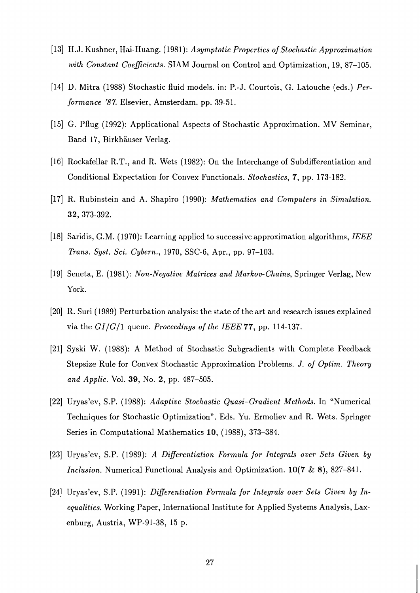- [13] H.J. Kushner, Hai-Huang. (1981): *Asymptotic Properties of Stochastic Approximation with Constant Coeflcients.* SIAM Journal on Control and Optimization, 19, 87-105.
- [14] D. Mitra (1988) Stochastic fluid models. in: P.-J. Courtois, G. Latouche (eds.) *Performance* '87. Elsevier, Amsterdam. pp. 39-51.
- [15] G. Pflug (1992): Applicational Aspects of Stochastic Approximation. MV Seminar, Band 17, Birkhauser Verlag.
- [16] Rockafellar R.T., and R. Wets (1982): On the Interchange of Subdifferentiation and Conditional Expectation for Convex Functionals. *Stochastics*, **7**, pp. 173-182.
- [17] R. Rubinstein and *A.* Shapiro (1990): *Mathematics and Computers in Simulation.*  32, 373-392.
- [18] Saridis, G.M. (1970): Learning applied to successive approximation algorithms, *IEEE Trans. Syst. Sci. Cybern.,* 1970, SSC-6, Apr., pp. 97-103.
- [19] Seneta, E. (1981): *Non-Negative Matrices and Markov-Chains,* Springer Verlag, New York.
- [20] R. Suri (1989) Perturbation analysis: the state of the art and research issues explained via the *GI/G/l* queue. *Proceedings of the IEEE* 77, pp. 114-137.
- [21] Syski W. (1988): A Method of Stochastic Subgradients with Complete Feedback Stepsize Rule for Convex Stochastic Approximation Problems. J. *of Optim. Theory and Applic.* Vol. *39,* No. 2, pp. 487-505.
- [22] Uryas7ev, S.P. (1988): *Adaptive Stochastic Quasi-Gradient Methods.* In "Numerical Techniques for Stochastic Optimization". Eds. Yu. Ermoliev and R. Wets. Springer Series in Computational Mathematics 10, (1988), 373-384.
- [23] Uryas'ev, S.P. (1989): *A Differentiation Formula for Integrals over Sets Given by Inclusion.* Numerical Functional Analysis and Optimization. 10(7 & **B),** 827-841.
- [24] Uryas'ev, S.P. (1991): *Differentiation Formula for Integrals over Sets Given by Inequalities.* Working Paper, International Institute for Applied Systems Analysis, Laxenburg, Austria, WP-91-38, 15 p.